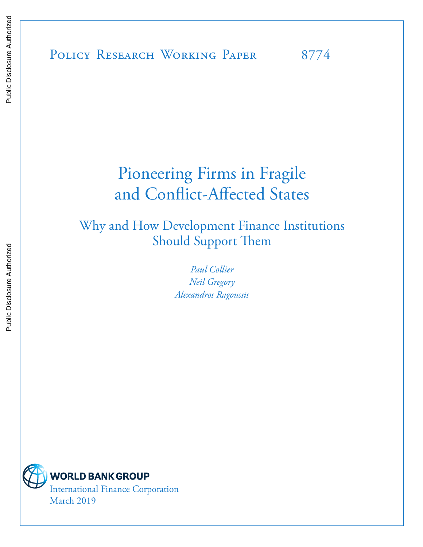POLICY RESEARCH WORKING PAPER 8774

# Pioneering Firms in Fragile and Conflict-Affected States

Why and How Development Finance Institutions Should Support Them

> *Paul Collier Neil Gregory Alexandros Ragoussis*

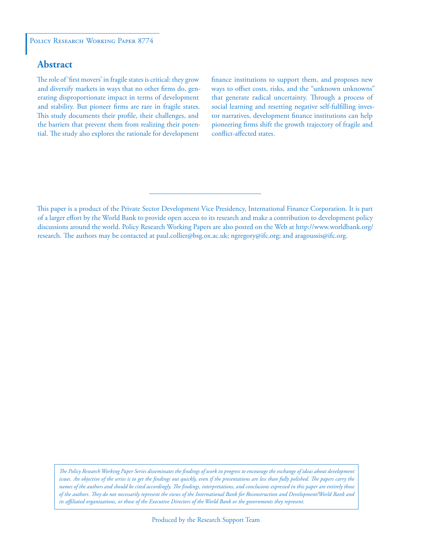## **Abstract**

The role of 'first movers' in fragile states is critical: they grow and diversify markets in ways that no other firms do, generating disproportionate impact in terms of development and stability. But pioneer firms are rare in fragile states. This study documents their profile, their challenges, and the barriers that prevent them from realizing their potential. The study also explores the rationale for development finance institutions to support them, and proposes new ways to offset costs, risks, and the "unknown unknowns" that generate radical uncertainty. Through a process of social learning and resetting negative self-fulfilling investor narratives, development finance institutions can help pioneering firms shift the growth trajectory of fragile and conflict-affected states.

*The Policy Research Working Paper Series disseminates the findings of work in progress to encourage the exchange of ideas about development*  issues. An objective of the series is to get the findings out quickly, even if the presentations are less than fully polished. The papers carry the *names of the authors and should be cited accordingly. The findings, interpretations, and conclusions expressed in this paper are entirely those of the authors. They do not necessarily represent the views of the International Bank for Reconstruction and Development/World Bank and its affiliated organizations, or those of the Executive Directors of the World Bank or the governments they represent.*

This paper is a product of the Private Sector Development Vice Presidency, International Finance Corporation. It is part of a larger effort by the World Bank to provide open access to its research and make a contribution to development policy discussions around the world. Policy Research Working Papers are also posted on the Web at http://www.worldbank.org/ research. The authors may be contacted at paul.collier@bsg.ox.ac.uk; ngregory@ifc.org; and aragoussis@ifc.org.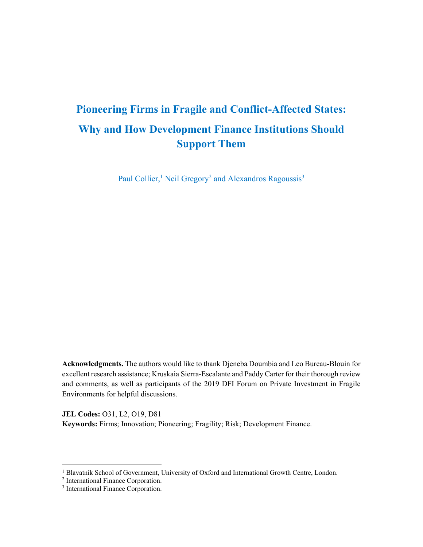## **Pioneering Firms in Fragile and Conflict-Affected States: Why and How Development Finance Institutions Should Support Them**

Paul Collier,<sup>1</sup> Neil Gregory<sup>2</sup> and Alexandros Ragoussis<sup>3</sup>

**Acknowledgments.** The authors would like to thank Djeneba Doumbia and Leo Bureau-Blouin for excellent research assistance; Kruskaia Sierra-Escalante and Paddy Carter for their thorough review and comments, as well as participants of the 2019 DFI Forum on Private Investment in Fragile Environments for helpful discussions.

**JEL Codes:** O31, L2, O19, D81 **Keywords:** Firms; Innovation; Pioneering; Fragility; Risk; Development Finance.

<sup>&</sup>lt;sup>1</sup> Blavatnik School of Government, University of Oxford and International Growth Centre, London.<br><sup>2</sup> International Einance Corporation

<sup>&</sup>lt;sup>2</sup> International Finance Corporation.

<sup>&</sup>lt;sup>3</sup> International Finance Corporation.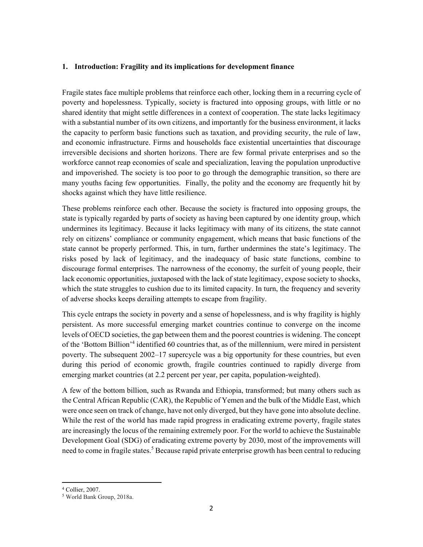#### **1. Introduction: Fragility and its implications for development finance**

Fragile states face multiple problems that reinforce each other, locking them in a recurring cycle of poverty and hopelessness. Typically, society is fractured into opposing groups, with little or no shared identity that might settle differences in a context of cooperation. The state lacks legitimacy with a substantial number of its own citizens, and importantly for the business environment, it lacks the capacity to perform basic functions such as taxation, and providing security, the rule of law, and economic infrastructure. Firms and households face existential uncertainties that discourage irreversible decisions and shorten horizons. There are few formal private enterprises and so the workforce cannot reap economies of scale and specialization, leaving the population unproductive and impoverished. The society is too poor to go through the demographic transition, so there are many youths facing few opportunities. Finally, the polity and the economy are frequently hit by shocks against which they have little resilience.

These problems reinforce each other. Because the society is fractured into opposing groups, the state is typically regarded by parts of society as having been captured by one identity group, which undermines its legitimacy. Because it lacks legitimacy with many of its citizens, the state cannot rely on citizens' compliance or community engagement, which means that basic functions of the state cannot be properly performed. This, in turn, further undermines the state's legitimacy. The risks posed by lack of legitimacy, and the inadequacy of basic state functions, combine to discourage formal enterprises. The narrowness of the economy, the surfeit of young people, their lack economic opportunities, juxtaposed with the lack of state legitimacy, expose society to shocks, which the state struggles to cushion due to its limited capacity. In turn, the frequency and severity of adverse shocks keeps derailing attempts to escape from fragility.

This cycle entraps the society in poverty and a sense of hopelessness, and is why fragility is highly persistent. As more successful emerging market countries continue to converge on the income levels of OECD societies, the gap between them and the poorest countries is widening. The concept of the 'Bottom Billion'<sup>4</sup> identified 60 countries that, as of the millennium, were mired in persistent poverty. The subsequent 2002–17 supercycle was a big opportunity for these countries, but even during this period of economic growth, fragile countries continued to rapidly diverge from emerging market countries (at 2.2 percent per year, per capita, population-weighted).

A few of the bottom billion, such as Rwanda and Ethiopia, transformed; but many others such as the Central African Republic (CAR), the Republic of Yemen and the bulk of the Middle East, which were once seen on track of change, have not only diverged, but they have gone into absolute decline. While the rest of the world has made rapid progress in eradicating extreme poverty, fragile states are increasingly the locus of the remaining extremely poor. For the world to achieve the Sustainable Development Goal (SDG) of eradicating extreme poverty by 2030, most of the improvements will need to come in fragile states.<sup>5</sup> Because rapid private enterprise growth has been central to reducing

<sup>4</sup> Collier, 2007.

<sup>5</sup> World Bank Group, 2018a.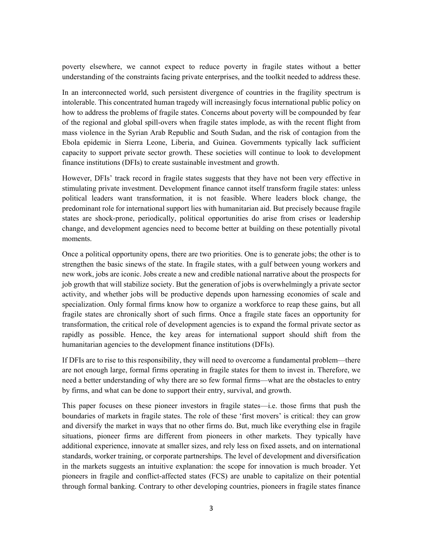poverty elsewhere, we cannot expect to reduce poverty in fragile states without a better understanding of the constraints facing private enterprises, and the toolkit needed to address these.

In an interconnected world, such persistent divergence of countries in the fragility spectrum is intolerable. This concentrated human tragedy will increasingly focus international public policy on how to address the problems of fragile states. Concerns about poverty will be compounded by fear of the regional and global spill-overs when fragile states implode, as with the recent flight from mass violence in the Syrian Arab Republic and South Sudan, and the risk of contagion from the Ebola epidemic in Sierra Leone, Liberia, and Guinea. Governments typically lack sufficient capacity to support private sector growth. These societies will continue to look to development finance institutions (DFIs) to create sustainable investment and growth.

However, DFIs' track record in fragile states suggests that they have not been very effective in stimulating private investment. Development finance cannot itself transform fragile states: unless political leaders want transformation, it is not feasible. Where leaders block change, the predominant role for international support lies with humanitarian aid. But precisely because fragile states are shock-prone, periodically, political opportunities do arise from crises or leadership change, and development agencies need to become better at building on these potentially pivotal moments.

Once a political opportunity opens, there are two priorities. One is to generate jobs; the other is to strengthen the basic sinews of the state. In fragile states, with a gulf between young workers and new work, jobs are iconic. Jobs create a new and credible national narrative about the prospects for job growth that will stabilize society. But the generation of jobs is overwhelmingly a private sector activity, and whether jobs will be productive depends upon harnessing economies of scale and specialization. Only formal firms know how to organize a workforce to reap these gains, but all fragile states are chronically short of such firms. Once a fragile state faces an opportunity for transformation, the critical role of development agencies is to expand the formal private sector as rapidly as possible. Hence, the key areas for international support should shift from the humanitarian agencies to the development finance institutions (DFIs).

If DFIs are to rise to this responsibility, they will need to overcome a fundamental problem—there are not enough large, formal firms operating in fragile states for them to invest in. Therefore, we need a better understanding of why there are so few formal firms—what are the obstacles to entry by firms, and what can be done to support their entry, survival, and growth.

This paper focuses on these pioneer investors in fragile states—i.e. those firms that push the boundaries of markets in fragile states. The role of these 'first movers' is critical: they can grow and diversify the market in ways that no other firms do. But, much like everything else in fragile situations, pioneer firms are different from pioneers in other markets. They typically have additional experience, innovate at smaller sizes, and rely less on fixed assets, and on international standards, worker training, or corporate partnerships. The level of development and diversification in the markets suggests an intuitive explanation: the scope for innovation is much broader. Yet pioneers in fragile and conflict-affected states (FCS) are unable to capitalize on their potential through formal banking. Contrary to other developing countries, pioneers in fragile states finance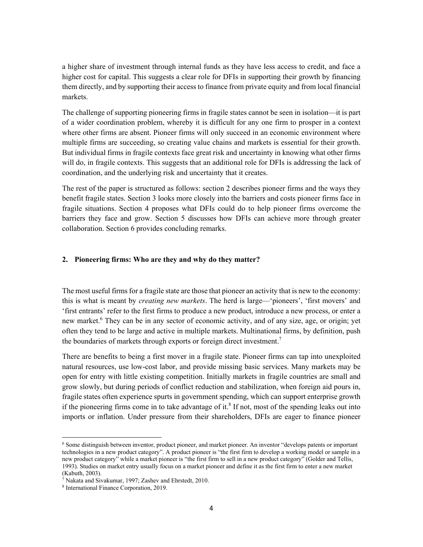a higher share of investment through internal funds as they have less access to credit, and face a higher cost for capital. This suggests a clear role for DFIs in supporting their growth by financing them directly, and by supporting their access to finance from private equity and from local financial markets.

The challenge of supporting pioneering firms in fragile states cannot be seen in isolation—it is part of a wider coordination problem, whereby it is difficult for any one firm to prosper in a context where other firms are absent. Pioneer firms will only succeed in an economic environment where multiple firms are succeeding, so creating value chains and markets is essential for their growth. But individual firms in fragile contexts face great risk and uncertainty in knowing what other firms will do, in fragile contexts. This suggests that an additional role for DFIs is addressing the lack of coordination, and the underlying risk and uncertainty that it creates.

The rest of the paper is structured as follows: section 2 describes pioneer firms and the ways they benefit fragile states. Section 3 looks more closely into the barriers and costs pioneer firms face in fragile situations. Section 4 proposes what DFIs could do to help pioneer firms overcome the barriers they face and grow. Section 5 discusses how DFIs can achieve more through greater collaboration. Section 6 provides concluding remarks.

#### **2. Pioneering firms: Who are they and why do they matter?**

The most useful firms for a fragile state are those that pioneer an activity that is new to the economy: this is what is meant by *creating new markets*. The herd is large—'pioneers', 'first movers' and 'first entrants' refer to the first firms to produce a new product, introduce a new process, or enter a new market.<sup>6</sup> They can be in any sector of economic activity, and of any size, age, or origin; yet often they tend to be large and active in multiple markets. Multinational firms, by definition, push the boundaries of markets through exports or foreign direct investment.<sup>7</sup>

There are benefits to being a first mover in a fragile state. Pioneer firms can tap into unexploited natural resources, use low-cost labor, and provide missing basic services. Many markets may be open for entry with little existing competition. Initially markets in fragile countries are small and grow slowly, but during periods of conflict reduction and stabilization, when foreign aid pours in, fragile states often experience spurts in government spending, which can support enterprise growth if the pioneering firms come in to take advantage of it.<sup>8</sup> If not, most of the spending leaks out into imports or inflation. Under pressure from their shareholders, DFIs are eager to finance pioneer

<sup>6</sup> Some distinguish between inventor, product pioneer, and market pioneer. An inventor "develops patents or important technologies in a new product category". A product pioneer is "the first firm to develop a working model or sample in a new product category" while a market pioneer is "the first firm to sell in a new product category" (Golder and Tellis, 1993). Studies on market entry usually focus on a market pioneer and define it as the first firm to enter a new market (Kabuth, 2003).

<sup>&</sup>lt;sup>7</sup> Nakata and Sivakumar, 1997; Zashev and Ehrstedt, 2010.<br><sup>8</sup> International Einance Corporation, 2019

<sup>&</sup>lt;sup>8</sup> International Finance Corporation, 2019.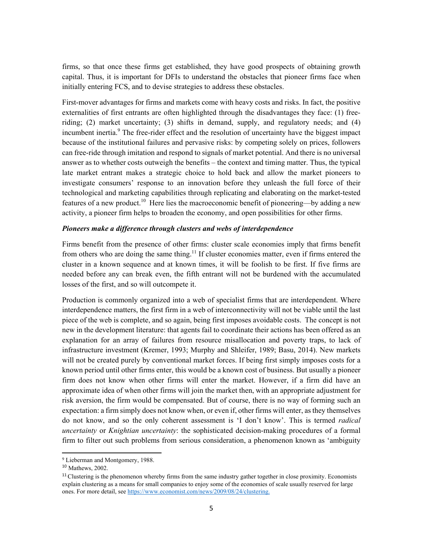firms, so that once these firms get established, they have good prospects of obtaining growth capital. Thus, it is important for DFIs to understand the obstacles that pioneer firms face when initially entering FCS, and to devise strategies to address these obstacles.

First-mover advantages for firms and markets come with heavy costs and risks. In fact, the positive externalities of first entrants are often highlighted through the disadvantages they face: (1) freeriding; (2) market uncertainty; (3) shifts in demand, supply, and regulatory needs; and (4) incumbent inertia.<sup>9</sup> The free-rider effect and the resolution of uncertainty have the biggest impact because of the institutional failures and pervasive risks: by competing solely on prices, followers can free-ride through imitation and respond to signals of market potential. And there is no universal answer as to whether costs outweigh the benefits – the context and timing matter. Thus, the typical late market entrant makes a strategic choice to hold back and allow the market pioneers to investigate consumers' response to an innovation before they unleash the full force of their technological and marketing capabilities through replicating and elaborating on the market-tested features of a new product.<sup>10</sup> Here lies the macroeconomic benefit of pioneering—by adding a new activity, a pioneer firm helps to broaden the economy, and open possibilities for other firms.

#### *Pioneers make a difference through clusters and webs of interdependence*

Firms benefit from the presence of other firms: cluster scale economies imply that firms benefit from others who are doing the same thing.<sup>11</sup> If cluster economies matter, even if firms entered the cluster in a known sequence and at known times, it will be foolish to be first. If five firms are needed before any can break even, the fifth entrant will not be burdened with the accumulated losses of the first, and so will outcompete it.

Production is commonly organized into a web of specialist firms that are interdependent. Where interdependence matters, the first firm in a web of interconnectivity will not be viable until the last piece of the web is complete, and so again, being first imposes avoidable costs. The concept is not new in the development literature: that agents fail to coordinate their actions has been offered as an explanation for an array of failures from resource misallocation and poverty traps, to lack of infrastructure investment (Kremer, 1993; Murphy and Shleifer, 1989; Basu, 2014). New markets will not be created purely by conventional market forces. If being first simply imposes costs for a known period until other firms enter, this would be a known cost of business. But usually a pioneer firm does not know when other firms will enter the market. However, if a firm did have an approximate idea of when other firms will join the market then, with an appropriate adjustment for risk aversion, the firm would be compensated. But of course, there is no way of forming such an expectation: a firm simply does not know when, or even if, other firms will enter, as they themselves do not know, and so the only coherent assessment is 'I don't know'. This is termed *radical uncertainty* or *Knightian uncertainty*: the sophisticated decision-making procedures of a formal firm to filter out such problems from serious consideration, a phenomenon known as 'ambiguity

 <sup>9</sup> Lieberman and Montgomery, 1988.

<sup>10</sup> Mathews, 2002.

 $11$  Clustering is the phenomenon whereby firms from the same industry gather together in close proximity. Economists explain clustering as a means for small companies to enjoy some of the economies of scale usually reserved for large ones. For more detail, see https://www.economist.com/news/2009/08/24/clustering.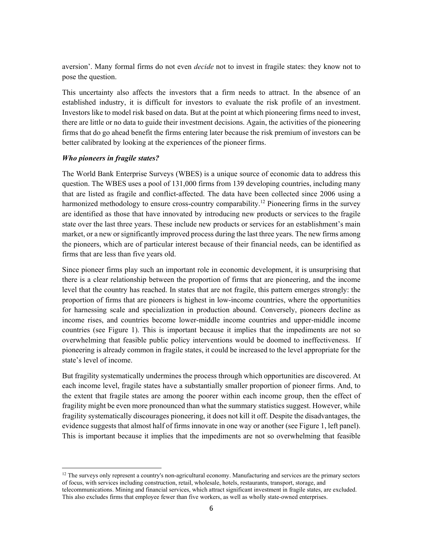aversion'. Many formal firms do not even *decide* not to invest in fragile states: they know not to pose the question.

This uncertainty also affects the investors that a firm needs to attract. In the absence of an established industry, it is difficult for investors to evaluate the risk profile of an investment. Investors like to model risk based on data. But at the point at which pioneering firms need to invest, there are little or no data to guide their investment decisions. Again, the activities of the pioneering firms that do go ahead benefit the firms entering later because the risk premium of investors can be better calibrated by looking at the experiences of the pioneer firms.

#### *Who pioneers in fragile states?*

The World Bank Enterprise Surveys (WBES) is a unique source of economic data to address this question. The WBES uses a pool of 131,000 firms from 139 developing countries, including many that are listed as fragile and conflict-affected. The data have been collected since 2006 using a harmonized methodology to ensure cross-country comparability.<sup>12</sup> Pioneering firms in the survey are identified as those that have innovated by introducing new products or services to the fragile state over the last three years. These include new products or services for an establishment's main market, or a new or significantly improved process during the last three years. The new firms among the pioneers, which are of particular interest because of their financial needs, can be identified as firms that are less than five years old.

Since pioneer firms play such an important role in economic development, it is unsurprising that there is a clear relationship between the proportion of firms that are pioneering, and the income level that the country has reached. In states that are not fragile, this pattern emerges strongly: the proportion of firms that are pioneers is highest in low-income countries, where the opportunities for harnessing scale and specialization in production abound. Conversely, pioneers decline as income rises, and countries become lower-middle income countries and upper-middle income countries (see Figure 1). This is important because it implies that the impediments are not so overwhelming that feasible public policy interventions would be doomed to ineffectiveness. If pioneering is already common in fragile states, it could be increased to the level appropriate for the state's level of income.

But fragility systematically undermines the process through which opportunities are discovered. At each income level, fragile states have a substantially smaller proportion of pioneer firms. And, to the extent that fragile states are among the poorer within each income group, then the effect of fragility might be even more pronounced than what the summary statistics suggest. However, while fragility systematically discourages pioneering, it does not kill it off. Despite the disadvantages, the evidence suggests that almost half of firms innovate in one way or another (see Figure 1, left panel). This is important because it implies that the impediments are not so overwhelming that feasible

<sup>&</sup>lt;sup>12</sup> The surveys only represent a country's non-agricultural economy. Manufacturing and services are the primary sectors of focus, with services including construction, retail, wholesale, hotels, restaurants, transport, storage, and telecommunications. Mining and financial services, which attract significant investment in fragile states, are excluded.

This also excludes firms that employee fewer than five workers, as well as wholly state-owned enterprises.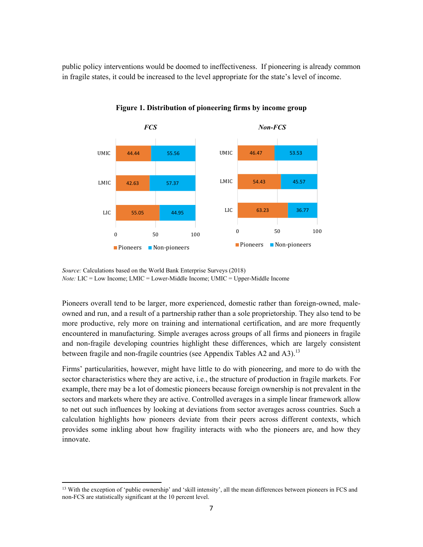public policy interventions would be doomed to ineffectiveness. If pioneering is already common in fragile states, it could be increased to the level appropriate for the state's level of income.



**Figure 1. Distribution of pioneering firms by income group**

Pioneers overall tend to be larger, more experienced, domestic rather than foreign-owned, maleowned and run, and a result of a partnership rather than a sole proprietorship. They also tend to be more productive, rely more on training and international certification, and are more frequently encountered in manufacturing. Simple averages across groups of all firms and pioneers in fragile and non-fragile developing countries highlight these differences, which are largely consistent between fragile and non-fragile countries (see Appendix Tables A2 and A3).<sup>13</sup>

Firms' particularities, however, might have little to do with pioneering, and more to do with the sector characteristics where they are active, i.e., the structure of production in fragile markets. For example, there may be a lot of domestic pioneers because foreign ownership is not prevalent in the sectors and markets where they are active. Controlled averages in a simple linear framework allow to net out such influences by looking at deviations from sector averages across countries. Such a calculation highlights how pioneers deviate from their peers across different contexts, which provides some inkling about how fragility interacts with who the pioneers are, and how they innovate.

*Source:* Calculations based on the World Bank Enterprise Surveys (2018) *Note:* LIC = Low Income; LMIC = Lower-Middle Income; UMIC = Upper-Middle Income

<sup>&</sup>lt;sup>13</sup> With the exception of 'public ownership' and 'skill intensity', all the mean differences between pioneers in FCS and non-FCS are statistically significant at the 10 percent level.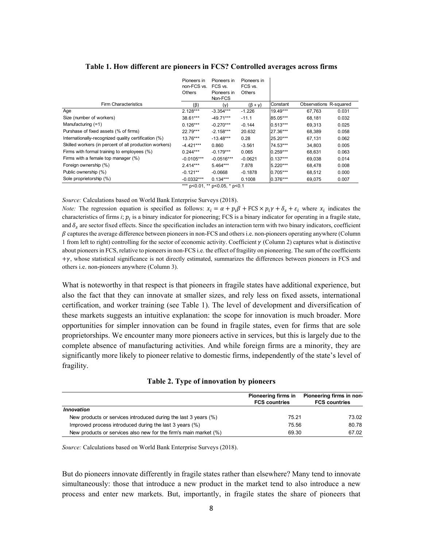|                                                        | Pioneers in<br>non-FCS vs.<br><b>Others</b> | Pioneers in<br>FCS vs.<br>Pioneers in | Pioneers in<br>FCS vs.<br>Others |            |                        |       |
|--------------------------------------------------------|---------------------------------------------|---------------------------------------|----------------------------------|------------|------------------------|-------|
|                                                        |                                             | Non-FCS                               |                                  |            |                        |       |
| <b>Firm Characteristics</b>                            | (ß)                                         | $(\gamma)$                            | $(\beta + \gamma)$               | Constant   | Observations R-squared |       |
| Age                                                    | $2.128***$                                  | $-3.354***$                           | $-1.226$                         | $19.49***$ | 67,763                 | 0.031 |
| Size (number of workers)                               | 38.61***                                    | $-49.71***$                           | $-11.1$                          | 85.05***   | 68,181                 | 0.032 |
| Manufacturing (=1)                                     | $0.126***$                                  | $-0.270***$                           | $-0.144$                         | 0.513***   | 69,313                 | 0.025 |
| Purshase of fixed assets (% of firms)                  | $22.79***$                                  | $-2.158***$                           | 20.632                           | 27.36***   | 68.389                 | 0.058 |
| Internationally-recognized quality certification (%)   | $13.76***$                                  | $-13.48***$                           | 0.28                             | 25.20***   | 67,131                 | 0.062 |
| Skilled workers (in percent of all production workers) | $-4.421***$                                 | 0.860                                 | $-3.561$                         | 74.53***   | 34.803                 | 0.005 |
| Firms with formal training to employees (%)            | $0.244***$                                  | $-0.179***$                           | 0.065                            | $0.259***$ | 68,631                 | 0.063 |
| Firms with a female top manager (%)                    | $-0.0105***$                                | $-0.0516***$                          | $-0.0621$                        | $0.137***$ | 69,038                 | 0.014 |
| Foreign ownership (%)                                  | $2.414***$                                  | $5.464***$                            | 7.878                            | $5.220***$ | 68,478                 | 0.008 |
| Public ownership (%)                                   | $-0.121**$                                  | $-0.0668$                             | $-0.1878$                        | 0.705***   | 68,512                 | 0.000 |
| Sole proprietorship (%)                                | $-0.0332***$                                | $0.134***$                            | 0.1008                           | 0.376***   | 69,075                 | 0.007 |
|                                                        |                                             | *** p<0.01, ** p<0.05, * p<0.1        |                                  |            |                        |       |

#### **Table 1. How different are pioneers in FCS? Controlled averages across firms**

*Source:* Calculations based on World Bank Enterprise Surveys (2018).

*Note:* The regression equation is specified as follows:  $x_i = \alpha + p_i \beta + FCS \times p_i \gamma + \delta_s + \varepsilon_i$  where  $x_i$  indicates the characteristics of firms  $i$ ;  $p_i$  is a binary indicator for pioneering; FCS is a binary indicator for operating in a fragile state, and  $\delta_{\rm s}$  are sector fixed effects. Since the specification includes an interaction term with two binary indicators, coefficient  $\beta$  captures the average difference between pioneers in non-FCS and others i.e. non-pioneers operating anywhere (Column 1 from left to right) controlling for the sector of economic activity. Coefficient  $\gamma$  (Column 2) captures what is distinctive about pioneers in FCS, relative to pioneers in non-FCS i.e. the effect of fragility on pioneering. The sum of the coefficients  $+\gamma$ , whose statistical significance is not directly estimated, summarizes the differences between pioneers in FCS and others i.e. non-pioneers anywhere (Column 3).

What is noteworthy in that respect is that pioneers in fragile states have additional experience, but also the fact that they can innovate at smaller sizes, and rely less on fixed assets, international certification, and worker training (see Table 1). The level of development and diversification of these markets suggests an intuitive explanation: the scope for innovation is much broader. More opportunities for simpler innovation can be found in fragile states, even for firms that are sole proprietorships. We encounter many more pioneers active in services, but this is largely due to the complete absence of manufacturing activities. And while foreign firms are a minority, they are significantly more likely to pioneer relative to domestic firms, independently of the state's level of fragility.

|  |  | Table 2. Type of innovation by pioneers |  |
|--|--|-----------------------------------------|--|
|--|--|-----------------------------------------|--|

|                                                                  | Pioneering firms in<br><b>FCS countries</b> | Pioneering firms in non-<br><b>FCS countries</b> |
|------------------------------------------------------------------|---------------------------------------------|--------------------------------------------------|
| <b>Innovation</b>                                                |                                             |                                                  |
| New products or services introduced during the last 3 years (%)  | 75.21                                       | 73.02                                            |
| Improved process introduced during the last 3 years (%)          | 75.56                                       | 80.78                                            |
| New products or services also new for the firm's main market (%) | 69.30                                       | 67.02                                            |

*Source:* Calculations based on World Bank Enterprise Surveys (2018).

But do pioneers innovate differently in fragile states rather than elsewhere? Many tend to innovate simultaneously: those that introduce a new product in the market tend to also introduce a new process and enter new markets. But, importantly, in fragile states the share of pioneers that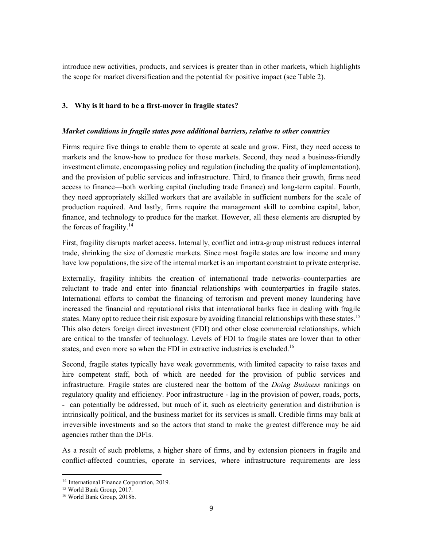introduce new activities, products, and services is greater than in other markets, which highlights the scope for market diversification and the potential for positive impact (see Table 2).

#### **3. Why is it hard to be a first-mover in fragile states?**

#### *Market conditions in fragile states pose additional barriers, relative to other countries*

Firms require five things to enable them to operate at scale and grow. First, they need access to markets and the know-how to produce for those markets. Second, they need a business-friendly investment climate, encompassing policy and regulation (including the quality of implementation), and the provision of public services and infrastructure. Third, to finance their growth, firms need access to finance—both working capital (including trade finance) and long-term capital. Fourth, they need appropriately skilled workers that are available in sufficient numbers for the scale of production required. And lastly, firms require the management skill to combine capital, labor, finance, and technology to produce for the market. However, all these elements are disrupted by the forces of fragility. $14$ 

First, fragility disrupts market access. Internally, conflict and intra-group mistrust reduces internal trade, shrinking the size of domestic markets. Since most fragile states are low income and many have low populations, the size of the internal market is an important constraint to private enterprise.

Externally, fragility inhibits the creation of international trade networks–counterparties are reluctant to trade and enter into financial relationships with counterparties in fragile states. International efforts to combat the financing of terrorism and prevent money laundering have increased the financial and reputational risks that international banks face in dealing with fragile states. Many opt to reduce their risk exposure by avoiding financial relationships with these states.<sup>15</sup> This also deters foreign direct investment (FDI) and other close commercial relationships, which are critical to the transfer of technology. Levels of FDI to fragile states are lower than to other states, and even more so when the FDI in extractive industries is excluded.<sup>16</sup>

Second, fragile states typically have weak governments, with limited capacity to raise taxes and hire competent staff, both of which are needed for the provision of public services and infrastructure. Fragile states are clustered near the bottom of the *Doing Business* rankings on regulatory quality and efficiency. Poor infrastructure - lag in the provision of power, roads, ports, - can potentially be addressed, but much of it, such as electricity generation and distribution is intrinsically political, and the business market for its services is small. Credible firms may balk at irreversible investments and so the actors that stand to make the greatest difference may be aid agencies rather than the DFIs.

As a result of such problems, a higher share of firms, and by extension pioneers in fragile and conflict-affected countries, operate in services, where infrastructure requirements are less

 <sup>14</sup> International Finance Corporation, 2019.<br><sup>15</sup> World Bank Group, 2017.

<sup>16</sup> World Bank Group, 2018b.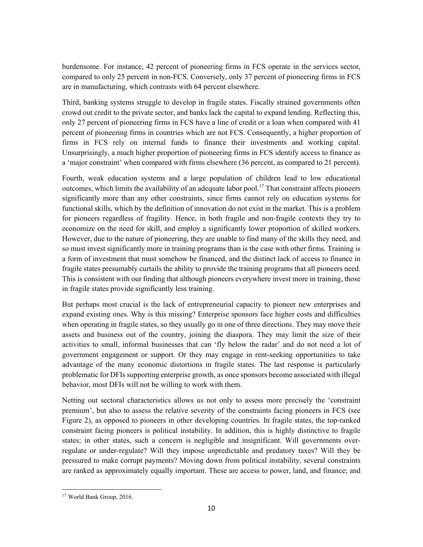burdensome. For instance, 42 percent of pioneering firms in FCS operate in the services sector, compared to only 25 percent in non-FCS. Conversely, only 37 percent of pioneering firms in FCS are in manufacturing, which contrasts with 64 percent elsewhere.

Third, banking systems struggle to develop in fragile states. Fiscally strained governments often crowd out credit to the private sector, and banks lack the capital to expand lending. Reflecting this, only 27 percent of pioneering firms in FCS have a line of credit or a loan when compared with 41 percent of pioneering firms in countries which are not FCS. Consequently, a higher proportion of firms in FCS rely on internal funds to finance their investments and working capital. Unsurprisingly, a much higher proportion of pioneering firms in FCS identify access to finance as a 'major constraint' when compared with firms elsewhere (36 percent, as compared to 21 percent).

Fourth, weak education systems and a large population of children lead to low educational outcomes, which limits the availability of an adequate labor pool.<sup>17</sup> That constraint affects pioneers significantly more than any other constraints, since firms cannot rely on education systems for functional skills, which by the definition of innovation do not exist in the market. This is a problem for pioneers regardless of fragility. Hence, in both fragile and non-fragile contexts they try to economize on the need for skill, and employ a significantly lower proportion of skilled workers. However, due to the nature of pioneering, they are unable to find many of the skills they need, and so must invest significantly more in training programs than is the case with other firms. Training is a form of investment that must somehow be financed, and the distinct lack of access to finance in fragile states presumably curtails the ability to provide the training programs that all pioneers need. This is consistent with our finding that although pioneers everywhere invest more in training, those in fragile states provide significantly less training.

But perhaps most crucial is the lack of entrepreneurial capacity to pioneer new enterprises and expand existing ones. Why is this missing? Enterprise sponsors face higher costs and difficulties when operating in fragile states, so they usually go in one of three directions. They may move their assets and business out of the country, joining the diaspora. They may limit the size of their activities to small, informal businesses that can 'fly below the radar' and do not need a lot of government engagement or support. Or they may engage in rent-seeking opportunities to take advantage of the many economic distortions in fragile states. The last response is particularly problematic for DFIs supporting enterprise growth, as once sponsors become associated with illegal behavior, most DFIs will not be willing to work with them.

Netting out sectoral characteristics allows us not only to assess more precisely the 'constraint premium', but also to assess the relative severity of the constraints facing pioneers in FCS (see Figure 2), as opposed to pioneers in other developing countries. In fragile states, the top-ranked constraint facing pioneers is political instability. In addition, this is highly distinctive to fragile states; in other states, such a concern is negligible and insignificant. Will governments overregulate or under-regulate? Will they impose unpredictable and predatory taxes? Will they be pressured to make corrupt payments? Moving down from political instability, several constraints are ranked as approximately equally important. These are access to power, land, and finance; and

 <sup>17</sup> World Bank Group, 2016.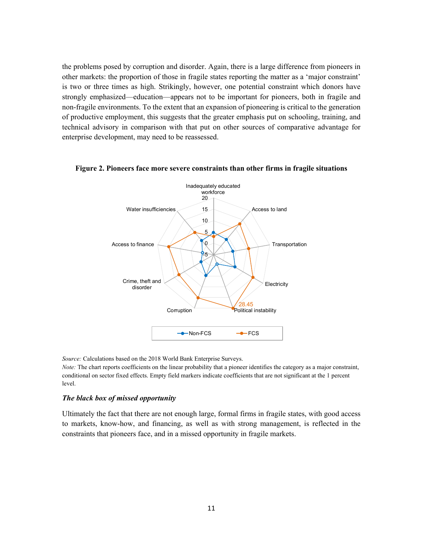the problems posed by corruption and disorder. Again, there is a large difference from pioneers in other markets: the proportion of those in fragile states reporting the matter as a 'major constraint' is two or three times as high. Strikingly, however, one potential constraint which donors have strongly emphasized—education—appears not to be important for pioneers, both in fragile and non-fragile environments. To the extent that an expansion of pioneering is critical to the generation of productive employment, this suggests that the greater emphasis put on schooling, training, and technical advisory in comparison with that put on other sources of comparative advantage for enterprise development, may need to be reassessed.



#### **Figure 2. Pioneers face more severe constraints than other firms in fragile situations**

*Source:* Calculations based on the 2018 World Bank Enterprise Surveys.

*Note:* The chart reports coefficients on the linear probability that a pioneer identifies the category as a major constraint, conditional on sector fixed effects. Empty field markers indicate coefficients that are not significant at the 1 percent level.

#### *The black box of missed opportunity*

Ultimately the fact that there are not enough large, formal firms in fragile states, with good access to markets, know-how, and financing, as well as with strong management, is reflected in the constraints that pioneers face, and in a missed opportunity in fragile markets.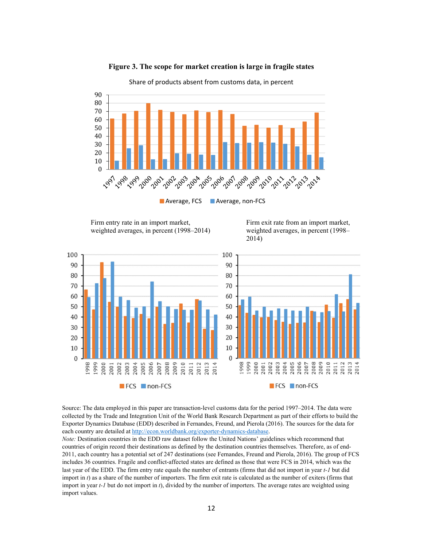

**Figure 3. The scope for market creation is large in fragile states**

Firm entry rate in an import market, weighted averages, in percent (1998–2014)

Firm exit rate from an import market, weighted averages, in percent (1998– 2014)



Source: The data employed in this paper are transaction-level customs data for the period 1997–2014. The data were collected by the Trade and Integration Unit of the World Bank Research Department as part of their efforts to build the Exporter Dynamics Database (EDD) described in Fernandes, Freund, and Pierola (2016). The sources for the data for each country are detailed at http://econ.worldbank.org/exporter-dynamics-database.

*Note:* Destination countries in the EDD raw dataset follow the United Nations' guidelines which recommend that countries of origin record their destinations as defined by the destination countries themselves. Therefore, as of end-2011, each country has a potential set of 247 destinations (see Fernandes, Freund and Pierola, 2016). The group of FCS includes 36 countries. Fragile and conflict-affected states are defined as those that were FCS in 2014, which was the last year of the EDD. The firm entry rate equals the number of entrants (firms that did not import in year *t-1* but did import in *t*) as a share of the number of importers. The firm exit rate is calculated as the number of exiters (firms that import in year *t-1* but do not import in *t*), divided by the number of importers. The average rates are weighted using import values.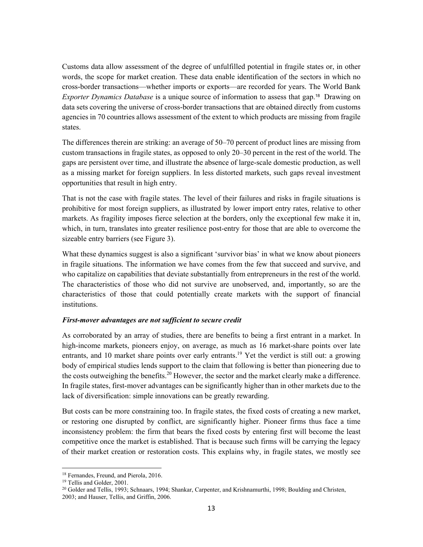Customs data allow assessment of the degree of unfulfilled potential in fragile states or, in other words, the scope for market creation. These data enable identification of the sectors in which no cross-border transactions—whether imports or exports—are recorded for years. The World Bank *Exporter Dynamics Database* is a unique source of information to assess that gap.18 Drawing on data sets covering the universe of cross-border transactions that are obtained directly from customs agencies in 70 countries allows assessment of the extent to which products are missing from fragile states.

The differences therein are striking: an average of 50–70 percent of product lines are missing from custom transactions in fragile states, as opposed to only 20–30 percent in the rest of the world. The gaps are persistent over time, and illustrate the absence of large-scale domestic production, as well as a missing market for foreign suppliers. In less distorted markets, such gaps reveal investment opportunities that result in high entry.

That is not the case with fragile states. The level of their failures and risks in fragile situations is prohibitive for most foreign suppliers, as illustrated by lower import entry rates, relative to other markets. As fragility imposes fierce selection at the borders, only the exceptional few make it in, which, in turn, translates into greater resilience post-entry for those that are able to overcome the sizeable entry barriers (see Figure 3).

What these dynamics suggest is also a significant 'survivor bias' in what we know about pioneers in fragile situations. The information we have comes from the few that succeed and survive, and who capitalize on capabilities that deviate substantially from entrepreneurs in the rest of the world. The characteristics of those who did not survive are unobserved, and, importantly, so are the characteristics of those that could potentially create markets with the support of financial institutions.

#### *First-mover advantages are not sufficient to secure credit*

As corroborated by an array of studies, there are benefits to being a first entrant in a market. In high-income markets, pioneers enjoy, on average, as much as 16 market-share points over late entrants, and 10 market share points over early entrants.<sup>19</sup> Yet the verdict is still out: a growing body of empirical studies lends support to the claim that following is better than pioneering due to the costs outweighing the benefits.<sup>20</sup> However, the sector and the market clearly make a difference. In fragile states, first-mover advantages can be significantly higher than in other markets due to the lack of diversification: simple innovations can be greatly rewarding.

But costs can be more constraining too. In fragile states, the fixed costs of creating a new market, or restoring one disrupted by conflict, are significantly higher. Pioneer firms thus face a time inconsistency problem: the firm that bears the fixed costs by entering first will become the least competitive once the market is established. That is because such firms will be carrying the legacy of their market creation or restoration costs. This explains why, in fragile states, we mostly see

 <sup>18</sup> Fernandes, Freund, and Pierola, 2016.<br><sup>19</sup> Tellis and Golder, 2001.

<sup>&</sup>lt;sup>20</sup> Golder and Tellis, 1993; Schnaars, 1994; Shankar, Carpenter, and Krishnamurthi, 1998; Boulding and Christen, 2003; and Hauser, Tellis, and Griffin, 2006.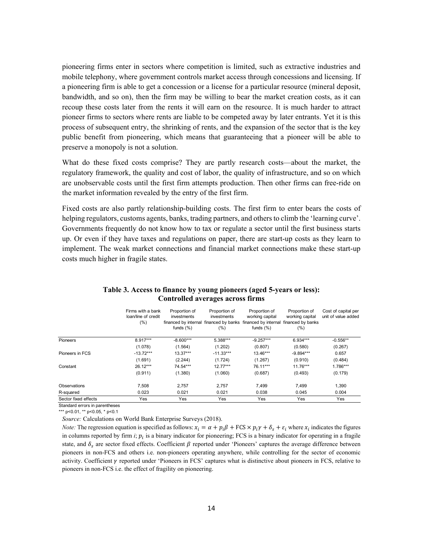pioneering firms enter in sectors where competition is limited, such as extractive industries and mobile telephony, where government controls market access through concessions and licensing. If a pioneering firm is able to get a concession or a license for a particular resource (mineral deposit, bandwidth, and so on), then the firm may be willing to bear the market creation costs, as it can recoup these costs later from the rents it will earn on the resource. It is much harder to attract pioneer firms to sectors where rents are liable to be competed away by later entrants. Yet it is this process of subsequent entry, the shrinking of rents, and the expansion of the sector that is the key public benefit from pioneering, which means that guaranteeing that a pioneer will be able to preserve a monopoly is not a solution.

What do these fixed costs comprise? They are partly research costs—about the market, the regulatory framework, the quality and cost of labor, the quality of infrastructure, and so on which are unobservable costs until the first firm attempts production. Then other firms can free-ride on the market information revealed by the entry of the first firm.

Fixed costs are also partly relationship-building costs. The first firm to enter bears the costs of helping regulators, customs agents, banks, trading partners, and others to climb the 'learning curve'. Governments frequently do not know how to tax or regulate a sector until the first business starts up. Or even if they have taxes and regulations on paper, there are start-up costs as they learn to implement. The weak market connections and financial market connections make these start-up costs much higher in fragile states.

|                      | Firms with a bank<br>loan/line of credit<br>(%) | Proportion of<br>investments<br>funds $(\% )$ | Proportion of<br>investments<br>(%) | Proportion of<br>working capital<br>financed by internal financed by banks financed by internal financed by banks<br>funds $(\% )$ | Proportion of<br>working capital<br>(%) | Cost of capital per<br>unit of value added |
|----------------------|-------------------------------------------------|-----------------------------------------------|-------------------------------------|------------------------------------------------------------------------------------------------------------------------------------|-----------------------------------------|--------------------------------------------|
| Pioneers             | 8.917***                                        | $-8.600***$                                   | 5.388***                            | $-9.257***$                                                                                                                        | $6.934***$                              | $-0.556**$                                 |
|                      | (1.078)                                         | (1.564)                                       | (1.202)                             | (0.807)                                                                                                                            | (0.580)                                 | (0.267)                                    |
| Pioneers in FCS      | $-13.72***$                                     | $13.37***$                                    | $-11.33***$                         | $13.46***$                                                                                                                         | $-9.894***$                             | 0.657                                      |
|                      | (1.691)                                         | (2.244)                                       | (1.724)                             | (1.267)                                                                                                                            | (0.910)                                 | (0.484)                                    |
| Constant             | 26.12***                                        | 74.54***                                      | $12.77***$                          | 76.11***                                                                                                                           | $11.76***$                              | $1.786***$                                 |
|                      | (0.911)                                         | (1.380)                                       | (1.060)                             | (0.687)                                                                                                                            | (0.493)                                 | (0.179)                                    |
| Observations         | 7.508                                           | 2.757                                         | 2.757                               | 7.499                                                                                                                              | 7.499                                   | 1,390                                      |
| R-squared            | 0.023                                           | 0.021                                         | 0.021                               | 0.038                                                                                                                              | 0.045                                   | 0.004                                      |
| Sector fixed effects | Yes                                             | Yes                                           | Yes                                 | Yes                                                                                                                                | Yes                                     | Yes                                        |

**Table 3. Access to finance by young pioneers (aged 5-years or less): Controlled averages across firms** 

Standard errors in parentheses

\*\*\* p<0.01, \*\* p<0.05, \* p<0.1

*Source:* Calculations on World Bank Enterprise Surveys (2018).

*Note:* The regression equation is specified as follows:  $x_i = \alpha + p_i \beta + FCS \times p_i \gamma + \delta_s + \varepsilon_i$  where  $x_i$  indicates the figures in columns reported by firm  $i$ ;  $p_i$  is a binary indicator for pioneering; FCS is a binary indicator for operating in a fragile state, and  $\delta_s$  are sector fixed effects. Coefficient  $\beta$  reported under 'Pioneers' captures the average difference between pioneers in non-FCS and others i.e. non-pioneers operating anywhere, while controlling for the sector of economic activity. Coefficient  $\gamma$  reported under 'Pioneers in FCS' captures what is distinctive about pioneers in FCS, relative to pioneers in non-FCS i.e. the effect of fragility on pioneering.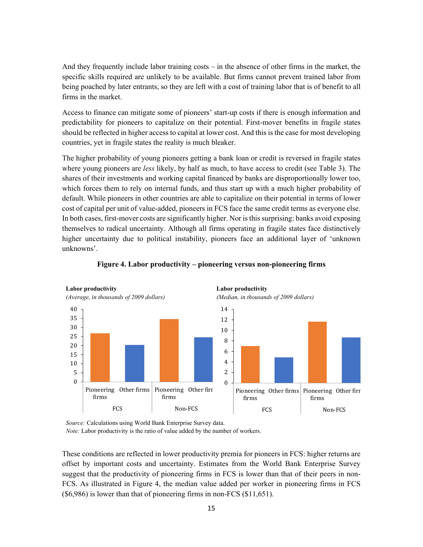And they frequently include labor training costs – in the absence of other firms in the market, the specific skills required are unlikely to be available. But firms cannot prevent trained labor from being poached by later entrants, so they are left with a cost of training labor that is of benefit to all firms in the market.

Access to finance can mitigate some of pioneers' start-up costs if there is enough information and predictability for pioneers to capitalize on their potential. First-mover benefits in fragile states should be reflected in higher access to capital at lower cost. And this is the case for most developing countries, yet in fragile states the reality is much bleaker.

The higher probability of young pioneers getting a bank loan or credit is reversed in fragile states where young pioneers are *less* likely, by half as much, to have access to credit (see Table 3). The shares of their investments and working capital financed by banks are disproportionally lower too, which forces them to rely on internal funds, and thus start up with a much higher probability of default. While pioneers in other countries are able to capitalize on their potential in terms of lower cost of capital per unit of value-added, pioneers in FCS face the same credit terms as everyone else. In both cases, first-mover costs are significantly higher. Nor is this surprising: banks avoid exposing themselves to radical uncertainty. Although all firms operating in fragile states face distinctively higher uncertainty due to political instability, pioneers face an additional layer of 'unknown unknowns'.



#### **Figure 4. Labor productivity – pioneering versus non-pioneering firms**

*Source:* Calculations using World Bank Enterprise Survey data.

*Note:* Labor productivity is the ratio of value added by the number of workers.

These conditions are reflected in lower productivity premia for pioneers in FCS: higher returns are offset by important costs and uncertainty. Estimates from the World Bank Enterprise Survey suggest that the productivity of pioneering firms in FCS is lower than that of their peers in non-FCS. As illustrated in Figure 4, the median value added per worker in pioneering firms in FCS (\$6,986) is lower than that of pioneering firms in non-FCS (\$11,651).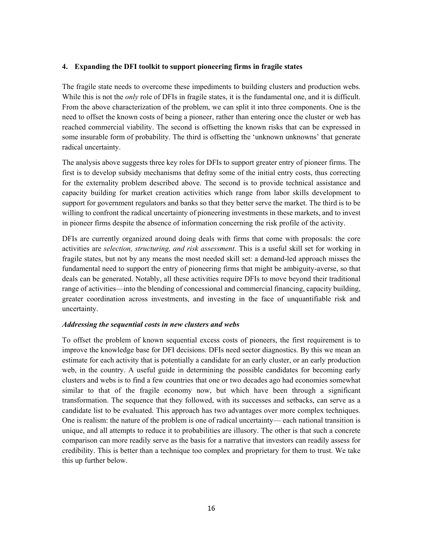#### **4. Expanding the DFI toolkit to support pioneering firms in fragile states**

The fragile state needs to overcome these impediments to building clusters and production webs. While this is not the *only* role of DFIs in fragile states, it is the fundamental one, and it is difficult. From the above characterization of the problem, we can split it into three components. One is the need to offset the known costs of being a pioneer, rather than entering once the cluster or web has reached commercial viability. The second is offsetting the known risks that can be expressed in some insurable form of probability. The third is offsetting the 'unknown unknowns' that generate radical uncertainty.

The analysis above suggests three key roles for DFIs to support greater entry of pioneer firms. The first is to develop subsidy mechanisms that defray some of the initial entry costs, thus correcting for the externality problem described above. The second is to provide technical assistance and capacity building for market creation activities which range from labor skills development to support for government regulators and banks so that they better serve the market. The third is to be willing to confront the radical uncertainty of pioneering investments in these markets, and to invest in pioneer firms despite the absence of information concerning the risk profile of the activity.

DFIs are currently organized around doing deals with firms that come with proposals: the core activities are *selection, structuring, and risk assessment*. This is a useful skill set for working in fragile states, but not by any means the most needed skill set: a demand-led approach misses the fundamental need to support the entry of pioneering firms that might be ambiguity-averse, so that deals can be generated. Notably, all these activities require DFIs to move beyond their traditional range of activities—into the blending of concessional and commercial financing, capacity building, greater coordination across investments, and investing in the face of unquantifiable risk and uncertainty.

#### *Addressing the sequential costs in new clusters and webs*

To offset the problem of known sequential excess costs of pioneers, the first requirement is to improve the knowledge base for DFI decisions. DFIs need sector diagnostics. By this we mean an estimate for each activity that is potentially a candidate for an early cluster, or an early production web, in the country. A useful guide in determining the possible candidates for becoming early clusters and webs is to find a few countries that one or two decades ago had economies somewhat similar to that of the fragile economy now, but which have been through a significant transformation. The sequence that they followed, with its successes and setbacks, can serve as a candidate list to be evaluated. This approach has two advantages over more complex techniques. One is realism: the nature of the problem is one of radical uncertainty— each national transition is unique, and all attempts to reduce it to probabilities are illusory. The other is that such a concrete comparison can more readily serve as the basis for a narrative that investors can readily assess for credibility. This is better than a technique too complex and proprietary for them to trust. We take this up further below.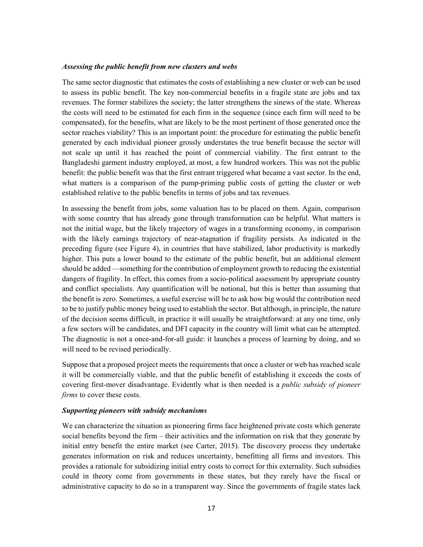#### *Assessing the public benefit from new clusters and webs*

The same sector diagnostic that estimates the costs of establishing a new cluster or web can be used to assess its public benefit. The key non-commercial benefits in a fragile state are jobs and tax revenues. The former stabilizes the society; the latter strengthens the sinews of the state. Whereas the costs will need to be estimated for each firm in the sequence (since each firm will need to be compensated), for the benefits, what are likely to be the most pertinent of those generated once the sector reaches viability? This is an important point: the procedure for estimating the public benefit generated by each individual pioneer grossly understates the true benefit because the sector will not scale up until it has reached the point of commercial viability. The first entrant to the Bangladeshi garment industry employed, at most, a few hundred workers. This was not the public benefit: the public benefit was that the first entrant triggered what became a vast sector. In the end, what matters is a comparison of the pump-priming public costs of getting the cluster or web established relative to the public benefits in terms of jobs and tax revenues.

In assessing the benefit from jobs, some valuation has to be placed on them. Again, comparison with some country that has already gone through transformation can be helpful. What matters is not the initial wage, but the likely trajectory of wages in a transforming economy, in comparison with the likely earnings trajectory of near-stagnation if fragility persists. As indicated in the preceding figure (see Figure 4), in countries that have stabilized, labor productivity is markedly higher. This puts a lower bound to the estimate of the public benefit, but an additional element should be added —something for the contribution of employment growth to reducing the existential dangers of fragility. In effect, this comes from a socio-political assessment by appropriate country and conflict specialists. Any quantification will be notional, but this is better than assuming that the benefit is zero. Sometimes, a useful exercise will be to ask how big would the contribution need to be to justify public money being used to establish the sector. But although, in principle, the nature of the decision seems difficult, in practice it will usually be straightforward: at any one time, only a few sectors will be candidates, and DFI capacity in the country will limit what can be attempted. The diagnostic is not a once-and-for-all guide: it launches a process of learning by doing, and so will need to be revised periodically.

Suppose that a proposed project meets the requirements that once a cluster or web has reached scale it will be commercially viable, and that the public benefit of establishing it exceeds the costs of covering first-mover disadvantage. Evidently what is then needed is a *public subsidy of pioneer firms* to cover these costs.

#### *Supporting pioneers with subsidy mechanisms*

We can characterize the situation as pioneering firms face heightened private costs which generate social benefits beyond the firm – their activities and the information on risk that they generate by initial entry benefit the entire market (see Carter, 2015). The discovery process they undertake generates information on risk and reduces uncertainty, benefitting all firms and investors. This provides a rationale for subsidizing initial entry costs to correct for this externality. Such subsidies could in theory come from governments in these states, but they rarely have the fiscal or administrative capacity to do so in a transparent way. Since the governments of fragile states lack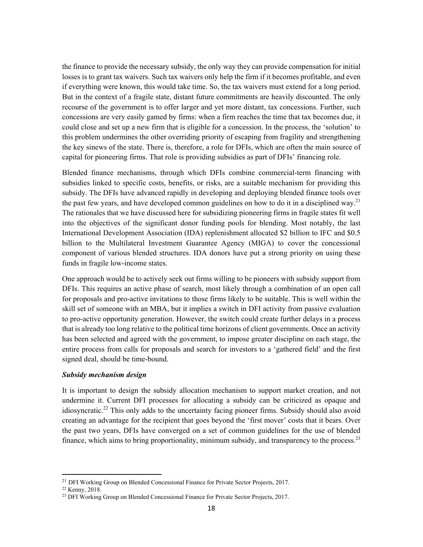the finance to provide the necessary subsidy, the only way they can provide compensation for initial losses is to grant tax waivers. Such tax waivers only help the firm if it becomes profitable, and even if everything were known, this would take time. So, the tax waivers must extend for a long period. But in the context of a fragile state, distant future commitments are heavily discounted. The only recourse of the government is to offer larger and yet more distant, tax concessions. Further, such concessions are very easily gamed by firms: when a firm reaches the time that tax becomes due, it could close and set up a new firm that is eligible for a concession. In the process, the 'solution' to this problem undermines the other overriding priority of escaping from fragility and strengthening the key sinews of the state. There is, therefore, a role for DFIs, which are often the main source of capital for pioneering firms. That role is providing subsidies as part of DFIs' financing role.

Blended finance mechanisms, through which DFIs combine commercial-term financing with subsidies linked to specific costs, benefits, or risks, are a suitable mechanism for providing this subsidy. The DFIs have advanced rapidly in developing and deploying blended finance tools over the past few years, and have developed common guidelines on how to do it in a disciplined way.<sup>21</sup> The rationales that we have discussed here for subsidizing pioneering firms in fragile states fit well into the objectives of the significant donor funding pools for blending. Most notably, the last International Development Association (IDA) replenishment allocated \$2 billion to IFC and \$0.5 billion to the Multilateral Investment Guarantee Agency (MIGA) to cover the concessional component of various blended structures. IDA donors have put a strong priority on using these funds in fragile low-income states.

One approach would be to actively seek out firms willing to be pioneers with subsidy support from DFIs. This requires an active phase of search, most likely through a combination of an open call for proposals and pro-active invitations to those firms likely to be suitable. This is well within the skill set of someone with an MBA, but it implies a switch in DFI activity from passive evaluation to pro-active opportunity generation. However, the switch could create further delays in a process that is already too long relative to the political time horizons of client governments. Once an activity has been selected and agreed with the government, to impose greater discipline on each stage, the entire process from calls for proposals and search for investors to a 'gathered field' and the first signed deal, should be time-bound.

#### *Subsidy mechanism design*

It is important to design the subsidy allocation mechanism to support market creation, and not undermine it. Current DFI processes for allocating a subsidy can be criticized as opaque and idiosyncratic.<sup>22</sup> This only adds to the uncertainty facing pioneer firms. Subsidy should also avoid creating an advantage for the recipient that goes beyond the 'first mover' costs that it bears. Over the past two years, DFIs have converged on a set of common guidelines for the use of blended finance, which aims to bring proportionality, minimum subsidy, and transparency to the process.<sup>23</sup>

<sup>&</sup>lt;sup>21</sup> DFI Working Group on Blended Concessional Finance for Private Sector Projects, 2017.

<sup>22</sup> Kenny, 2018.

<sup>&</sup>lt;sup>23</sup> DFI Working Group on Blended Concessional Finance for Private Sector Projects, 2017.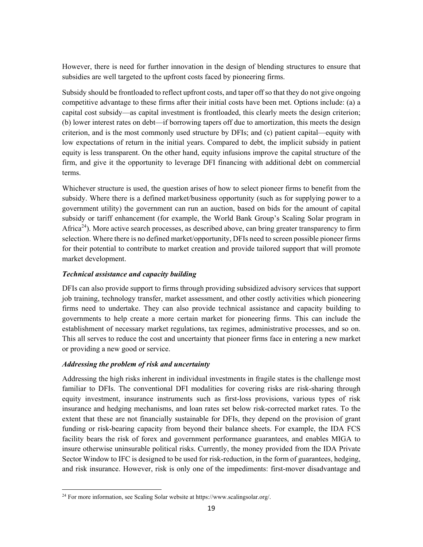However, there is need for further innovation in the design of blending structures to ensure that subsidies are well targeted to the upfront costs faced by pioneering firms.

Subsidy should be frontloaded to reflect upfront costs, and taper off so that they do not give ongoing competitive advantage to these firms after their initial costs have been met. Options include: (a) a capital cost subsidy—as capital investment is frontloaded, this clearly meets the design criterion; (b) lower interest rates on debt—if borrowing tapers off due to amortization, this meets the design criterion, and is the most commonly used structure by DFIs; and (c) patient capital—equity with low expectations of return in the initial years. Compared to debt, the implicit subsidy in patient equity is less transparent. On the other hand, equity infusions improve the capital structure of the firm, and give it the opportunity to leverage DFI financing with additional debt on commercial terms.

Whichever structure is used, the question arises of how to select pioneer firms to benefit from the subsidy. Where there is a defined market/business opportunity (such as for supplying power to a government utility) the government can run an auction, based on bids for the amount of capital subsidy or tariff enhancement (for example, the World Bank Group's Scaling Solar program in Africa<sup>24</sup>). More active search processes, as described above, can bring greater transparency to firm selection. Where there is no defined market/opportunity, DFIs need to screen possible pioneer firms for their potential to contribute to market creation and provide tailored support that will promote market development.

#### *Technical assistance and capacity building*

DFIs can also provide support to firms through providing subsidized advisory services that support job training, technology transfer, market assessment, and other costly activities which pioneering firms need to undertake. They can also provide technical assistance and capacity building to governments to help create a more certain market for pioneering firms. This can include the establishment of necessary market regulations, tax regimes, administrative processes, and so on. This all serves to reduce the cost and uncertainty that pioneer firms face in entering a new market or providing a new good or service.

#### *Addressing the problem of risk and uncertainty*

Addressing the high risks inherent in individual investments in fragile states is the challenge most familiar to DFIs. The conventional DFI modalities for covering risks are risk-sharing through equity investment, insurance instruments such as first-loss provisions, various types of risk insurance and hedging mechanisms, and loan rates set below risk-corrected market rates. To the extent that these are not financially sustainable for DFIs, they depend on the provision of grant funding or risk-bearing capacity from beyond their balance sheets. For example, the IDA FCS facility bears the risk of forex and government performance guarantees, and enables MIGA to insure otherwise uninsurable political risks. Currently, the money provided from the IDA Private Sector Window to IFC is designed to be used for risk-reduction, in the form of guarantees, hedging, and risk insurance. However, risk is only one of the impediments: first-mover disadvantage and

 <sup>24</sup> For more information, see Scaling Solar website at https://www.scalingsolar.org/.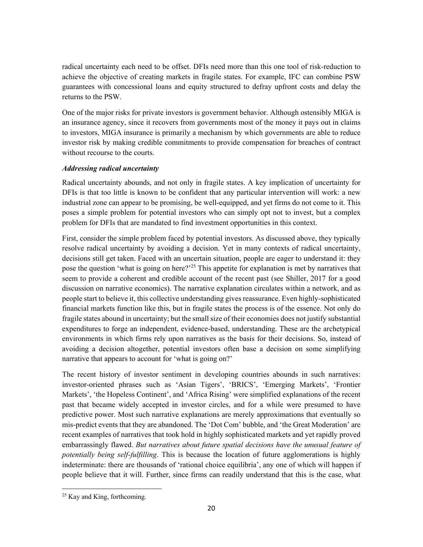radical uncertainty each need to be offset. DFIs need more than this one tool of risk-reduction to achieve the objective of creating markets in fragile states. For example, IFC can combine PSW guarantees with concessional loans and equity structured to defray upfront costs and delay the returns to the PSW.

One of the major risks for private investors is government behavior. Although ostensibly MIGA is an insurance agency, since it recovers from governments most of the money it pays out in claims to investors, MIGA insurance is primarily a mechanism by which governments are able to reduce investor risk by making credible commitments to provide compensation for breaches of contract without recourse to the courts.

#### *Addressing radical uncertainty*

Radical uncertainty abounds, and not only in fragile states. A key implication of uncertainty for DFIs is that too little is known to be confident that any particular intervention will work: a new industrial zone can appear to be promising, be well-equipped, and yet firms do not come to it. This poses a simple problem for potential investors who can simply opt not to invest, but a complex problem for DFIs that are mandated to find investment opportunities in this context.

First, consider the simple problem faced by potential investors. As discussed above, they typically resolve radical uncertainty by avoiding a decision. Yet in many contexts of radical uncertainty, decisions still get taken. Faced with an uncertain situation, people are eager to understand it: they pose the question 'what is going on here?'<sup>25</sup> This appetite for explanation is met by narratives that seem to provide a coherent and credible account of the recent past (see Shiller, 2017 for a good discussion on narrative economics). The narrative explanation circulates within a network, and as people start to believe it, this collective understanding gives reassurance. Even highly-sophisticated financial markets function like this, but in fragile states the process is of the essence. Not only do fragile states abound in uncertainty; but the small size of their economies does not justify substantial expenditures to forge an independent, evidence-based, understanding. These are the archetypical environments in which firms rely upon narratives as the basis for their decisions. So, instead of avoiding a decision altogether, potential investors often base a decision on some simplifying narrative that appears to account for 'what is going on?'

The recent history of investor sentiment in developing countries abounds in such narratives: investor-oriented phrases such as 'Asian Tigers', 'BRICS', 'Emerging Markets', 'Frontier Markets', 'the Hopeless Continent', and 'Africa Rising' were simplified explanations of the recent past that became widely accepted in investor circles, and for a while were presumed to have predictive power. Most such narrative explanations are merely approximations that eventually so mis-predict events that they are abandoned. The 'Dot Com' bubble, and 'the Great Moderation' are recent examples of narratives that took hold in highly sophisticated markets and yet rapidly proved embarrassingly flawed. *But narratives about future spatial decisions have the unusual feature of potentially being self-fulfilling*. This is because the location of future agglomerations is highly indeterminate: there are thousands of 'rational choice equilibria', any one of which will happen if people believe that it will. Further, since firms can readily understand that this is the case, what

 <sup>25</sup> Kay and King, forthcoming.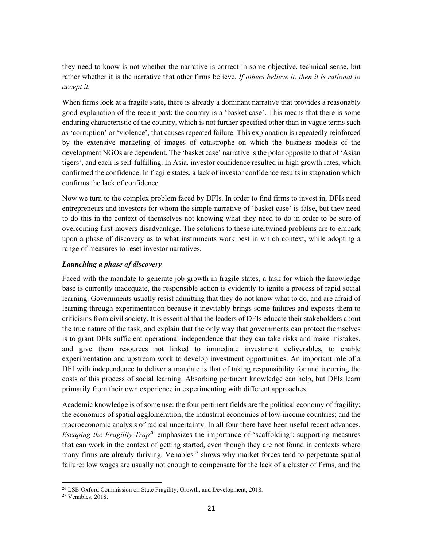they need to know is not whether the narrative is correct in some objective, technical sense, but rather whether it is the narrative that other firms believe. *If others believe it, then it is rational to accept it.* 

When firms look at a fragile state, there is already a dominant narrative that provides a reasonably good explanation of the recent past: the country is a 'basket case'. This means that there is some enduring characteristic of the country, which is not further specified other than in vague terms such as 'corruption' or 'violence', that causes repeated failure. This explanation is repeatedly reinforced by the extensive marketing of images of catastrophe on which the business models of the development NGOs are dependent. The 'basket case' narrative is the polar opposite to that of 'Asian tigers', and each is self-fulfilling. In Asia, investor confidence resulted in high growth rates, which confirmed the confidence. In fragile states, a lack of investor confidence results in stagnation which confirms the lack of confidence.

Now we turn to the complex problem faced by DFIs. In order to find firms to invest in, DFIs need entrepreneurs and investors for whom the simple narrative of 'basket case' is false, but they need to do this in the context of themselves not knowing what they need to do in order to be sure of overcoming first-movers disadvantage. The solutions to these intertwined problems are to embark upon a phase of discovery as to what instruments work best in which context, while adopting a range of measures to reset investor narratives.

#### *Launching a phase of discovery*

Faced with the mandate to generate job growth in fragile states, a task for which the knowledge base is currently inadequate, the responsible action is evidently to ignite a process of rapid social learning. Governments usually resist admitting that they do not know what to do, and are afraid of learning through experimentation because it inevitably brings some failures and exposes them to criticisms from civil society. It is essential that the leaders of DFIs educate their stakeholders about the true nature of the task, and explain that the only way that governments can protect themselves is to grant DFIs sufficient operational independence that they can take risks and make mistakes, and give them resources not linked to immediate investment deliverables, to enable experimentation and upstream work to develop investment opportunities. An important role of a DFI with independence to deliver a mandate is that of taking responsibility for and incurring the costs of this process of social learning. Absorbing pertinent knowledge can help, but DFIs learn primarily from their own experience in experimenting with different approaches.

Academic knowledge is of some use: the four pertinent fields are the political economy of fragility; the economics of spatial agglomeration; the industrial economics of low-income countries; and the macroeconomic analysis of radical uncertainty. In all four there have been useful recent advances. *Escaping the Fragility Trap*<sup>26</sup> emphasizes the importance of 'scaffolding': supporting measures that can work in the context of getting started, even though they are not found in contexts where many firms are already thriving. Venables<sup>27</sup> shows why market forces tend to perpetuate spatial failure: low wages are usually not enough to compensate for the lack of a cluster of firms, and the

<sup>&</sup>lt;sup>26</sup> LSE-Oxford Commission on State Fragility, Growth, and Development, 2018.<br><sup>27</sup> Venables, 2018.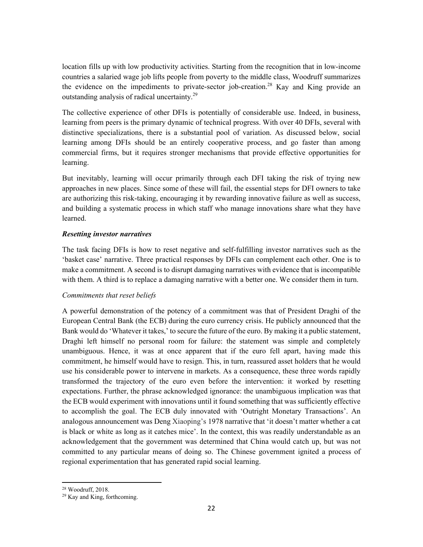location fills up with low productivity activities. Starting from the recognition that in low-income countries a salaried wage job lifts people from poverty to the middle class, Woodruff summarizes the evidence on the impediments to private-sector job-creation.<sup>28</sup> Kay and King provide an outstanding analysis of radical uncertainty.29

The collective experience of other DFIs is potentially of considerable use. Indeed, in business, learning from peers is the primary dynamic of technical progress. With over 40 DFIs, several with distinctive specializations, there is a substantial pool of variation. As discussed below, social learning among DFIs should be an entirely cooperative process, and go faster than among commercial firms, but it requires stronger mechanisms that provide effective opportunities for learning.

But inevitably, learning will occur primarily through each DFI taking the risk of trying new approaches in new places. Since some of these will fail, the essential steps for DFI owners to take are authorizing this risk-taking, encouraging it by rewarding innovative failure as well as success, and building a systematic process in which staff who manage innovations share what they have learned.

#### *Resetting investor narratives*

The task facing DFIs is how to reset negative and self-fulfilling investor narratives such as the 'basket case' narrative. Three practical responses by DFIs can complement each other. One is to make a commitment. A second is to disrupt damaging narratives with evidence that is incompatible with them. A third is to replace a damaging narrative with a better one. We consider them in turn.

#### *Commitments that reset beliefs*

A powerful demonstration of the potency of a commitment was that of President Draghi of the European Central Bank (the ECB) during the euro currency crisis. He publicly announced that the Bank would do 'Whatever it takes,' to secure the future of the euro. By making it a public statement, Draghi left himself no personal room for failure: the statement was simple and completely unambiguous. Hence, it was at once apparent that if the euro fell apart, having made this commitment, he himself would have to resign. This, in turn, reassured asset holders that he would use his considerable power to intervene in markets. As a consequence, these three words rapidly transformed the trajectory of the euro even before the intervention: it worked by resetting expectations. Further, the phrase acknowledged ignorance: the unambiguous implication was that the ECB would experiment with innovations until it found something that was sufficiently effective to accomplish the goal. The ECB duly innovated with 'Outright Monetary Transactions'. An analogous announcement was Deng Xiaoping's 1978 narrative that 'it doesn't matter whether a cat is black or white as long as it catches mice'. In the context, this was readily understandable as an acknowledgement that the government was determined that China would catch up, but was not committed to any particular means of doing so. The Chinese government ignited a process of regional experimentation that has generated rapid social learning.

<sup>28</sup> Woodruff, 2018.

<sup>29</sup> Kay and King, forthcoming.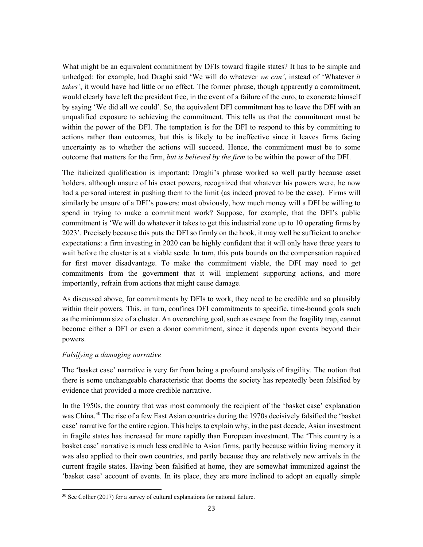What might be an equivalent commitment by DFIs toward fragile states? It has to be simple and unhedged: for example, had Draghi said 'We will do whatever *we can'*, instead of 'Whatever *it takes'*, it would have had little or no effect. The former phrase, though apparently a commitment, would clearly have left the president free, in the event of a failure of the euro, to exonerate himself by saying 'We did all we could'. So, the equivalent DFI commitment has to leave the DFI with an unqualified exposure to achieving the commitment. This tells us that the commitment must be within the power of the DFI. The temptation is for the DFI to respond to this by committing to actions rather than outcomes, but this is likely to be ineffective since it leaves firms facing uncertainty as to whether the actions will succeed. Hence, the commitment must be to some outcome that matters for the firm, *but is believed by the firm* to be within the power of the DFI.

The italicized qualification is important: Draghi's phrase worked so well partly because asset holders, although unsure of his exact powers, recognized that whatever his powers were, he now had a personal interest in pushing them to the limit (as indeed proved to be the case). Firms will similarly be unsure of a DFI's powers: most obviously, how much money will a DFI be willing to spend in trying to make a commitment work? Suppose, for example, that the DFI's public commitment is 'We will do whatever it takes to get this industrial zone up to 10 operating firms by 2023'. Precisely because this puts the DFI so firmly on the hook, it may well be sufficient to anchor expectations: a firm investing in 2020 can be highly confident that it will only have three years to wait before the cluster is at a viable scale. In turn, this puts bounds on the compensation required for first mover disadvantage. To make the commitment viable, the DFI may need to get commitments from the government that it will implement supporting actions, and more importantly, refrain from actions that might cause damage.

As discussed above, for commitments by DFIs to work, they need to be credible and so plausibly within their powers. This, in turn, confines DFI commitments to specific, time-bound goals such as the minimum size of a cluster. An overarching goal, such as escape from the fragility trap, cannot become either a DFI or even a donor commitment, since it depends upon events beyond their powers.

#### *Falsifying a damaging narrative*

The 'basket case' narrative is very far from being a profound analysis of fragility. The notion that there is some unchangeable characteristic that dooms the society has repeatedly been falsified by evidence that provided a more credible narrative.

In the 1950s, the country that was most commonly the recipient of the 'basket case' explanation was China.<sup>30</sup> The rise of a few East Asian countries during the 1970s decisively falsified the 'basket case' narrative for the entire region. This helps to explain why, in the past decade, Asian investment in fragile states has increased far more rapidly than European investment. The 'This country is a basket case' narrative is much less credible to Asian firms, partly because within living memory it was also applied to their own countries, and partly because they are relatively new arrivals in the current fragile states. Having been falsified at home, they are somewhat immunized against the 'basket case' account of events. In its place, they are more inclined to adopt an equally simple

  $30$  See Collier (2017) for a survey of cultural explanations for national failure.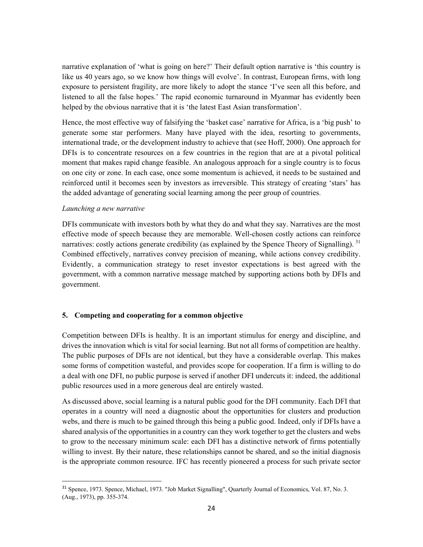narrative explanation of 'what is going on here?' Their default option narrative is 'this country is like us 40 years ago, so we know how things will evolve'. In contrast, European firms, with long exposure to persistent fragility, are more likely to adopt the stance 'I've seen all this before, and listened to all the false hopes.' The rapid economic turnaround in Myanmar has evidently been helped by the obvious narrative that it is 'the latest East Asian transformation'.

Hence, the most effective way of falsifying the 'basket case' narrative for Africa, is a 'big push' to generate some star performers. Many have played with the idea, resorting to governments, international trade, or the development industry to achieve that (see Hoff, 2000). One approach for DFIs is to concentrate resources on a few countries in the region that are at a pivotal political moment that makes rapid change feasible. An analogous approach for a single country is to focus on one city or zone. In each case, once some momentum is achieved, it needs to be sustained and reinforced until it becomes seen by investors as irreversible. This strategy of creating 'stars' has the added advantage of generating social learning among the peer group of countries.

#### *Launching a new narrative*

DFIs communicate with investors both by what they do and what they say. Narratives are the most effective mode of speech because they are memorable. Well-chosen costly actions can reinforce narratives: costly actions generate credibility (as explained by the Spence Theory of Signalling).  $31$ Combined effectively, narratives convey precision of meaning, while actions convey credibility. Evidently, a communication strategy to reset investor expectations is best agreed with the government, with a common narrative message matched by supporting actions both by DFIs and government.

#### **5. Competing and cooperating for a common objective**

Competition between DFIs is healthy. It is an important stimulus for energy and discipline, and drives the innovation which is vital for social learning. But not all forms of competition are healthy. The public purposes of DFIs are not identical, but they have a considerable overlap. This makes some forms of competition wasteful, and provides scope for cooperation. If a firm is willing to do a deal with one DFI, no public purpose is served if another DFI undercuts it: indeed, the additional public resources used in a more generous deal are entirely wasted.

As discussed above, social learning is a natural public good for the DFI community. Each DFI that operates in a country will need a diagnostic about the opportunities for clusters and production webs, and there is much to be gained through this being a public good. Indeed, only if DFIs have a shared analysis of the opportunities in a country can they work together to get the clusters and webs to grow to the necessary minimum scale: each DFI has a distinctive network of firms potentially willing to invest. By their nature, these relationships cannot be shared, and so the initial diagnosis is the appropriate common resource. IFC has recently pioneered a process for such private sector

<sup>31</sup> Spence, 1973. Spence, Michael, 1973. "Job Market Signalling", Quarterly Journal of Economics, Vol. 87, No. 3. (Aug., 1973), pp. 355-374.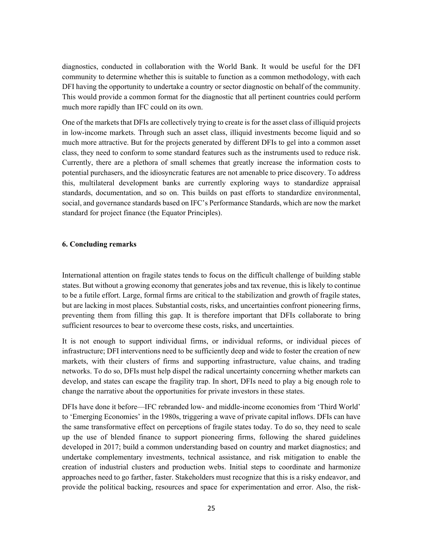diagnostics, conducted in collaboration with the World Bank. It would be useful for the DFI community to determine whether this is suitable to function as a common methodology, with each DFI having the opportunity to undertake a country or sector diagnostic on behalf of the community. This would provide a common format for the diagnostic that all pertinent countries could perform much more rapidly than IFC could on its own.

One of the markets that DFIs are collectively trying to create is for the asset class of illiquid projects in low-income markets. Through such an asset class, illiquid investments become liquid and so much more attractive. But for the projects generated by different DFIs to gel into a common asset class, they need to conform to some standard features such as the instruments used to reduce risk. Currently, there are a plethora of small schemes that greatly increase the information costs to potential purchasers, and the idiosyncratic features are not amenable to price discovery. To address this, multilateral development banks are currently exploring ways to standardize appraisal standards, documentation, and so on. This builds on past efforts to standardize environmental, social, and governance standards based on IFC's Performance Standards, which are now the market standard for project finance (the Equator Principles).

#### **6. Concluding remarks**

International attention on fragile states tends to focus on the difficult challenge of building stable states. But without a growing economy that generates jobs and tax revenue, this is likely to continue to be a futile effort. Large, formal firms are critical to the stabilization and growth of fragile states, but are lacking in most places. Substantial costs, risks, and uncertainties confront pioneering firms, preventing them from filling this gap. It is therefore important that DFIs collaborate to bring sufficient resources to bear to overcome these costs, risks, and uncertainties.

It is not enough to support individual firms, or individual reforms, or individual pieces of infrastructure; DFI interventions need to be sufficiently deep and wide to foster the creation of new markets, with their clusters of firms and supporting infrastructure, value chains, and trading networks. To do so, DFIs must help dispel the radical uncertainty concerning whether markets can develop, and states can escape the fragility trap. In short, DFIs need to play a big enough role to change the narrative about the opportunities for private investors in these states.

DFIs have done it before—IFC rebranded low- and middle-income economies from 'Third World' to 'Emerging Economies' in the 1980s, triggering a wave of private capital inflows. DFIs can have the same transformative effect on perceptions of fragile states today. To do so, they need to scale up the use of blended finance to support pioneering firms, following the shared guidelines developed in 2017; build a common understanding based on country and market diagnostics; and undertake complementary investments, technical assistance, and risk mitigation to enable the creation of industrial clusters and production webs. Initial steps to coordinate and harmonize approaches need to go farther, faster. Stakeholders must recognize that this is a risky endeavor, and provide the political backing, resources and space for experimentation and error. Also, the risk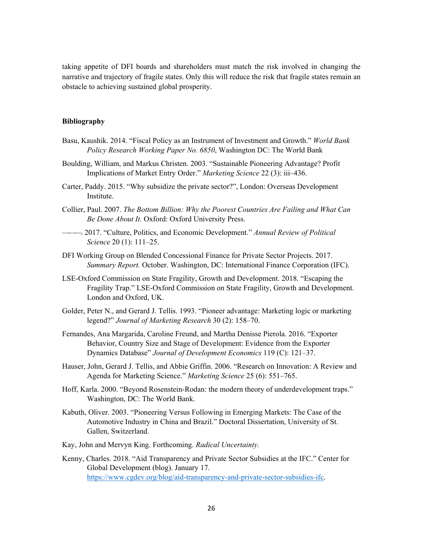taking appetite of DFI boards and shareholders must match the risk involved in changing the narrative and trajectory of fragile states. Only this will reduce the risk that fragile states remain an obstacle to achieving sustained global prosperity.

#### **Bibliography**

- Basu, Kaushik. 2014. "Fiscal Policy as an Instrument of Investment and Growth." *World Bank Policy Research Working Paper No. 6850*, Washington DC: The World Bank
- Boulding, William, and Markus Christen. 2003. "Sustainable Pioneering Advantage? Profit Implications of Market Entry Order." *Marketing Science* 22 (3): iii–436.
- Carter, Paddy. 2015. "Why subsidize the private sector?", London: Overseas Development Institute.
- Collier, Paul. 2007. *The Bottom Billion: Why the Poorest Countries Are Failing and What Can Be Done About It.* Oxford: Oxford University Press.
- ———. 2017. "Culture, Politics, and Economic Development." *Annual Review of Political Science* 20 (1): 111–25.
- DFI Working Group on Blended Concessional Finance for Private Sector Projects. 2017. *Summary Report.* October. Washington, DC: International Finance Corporation (IFC).
- LSE-Oxford Commission on State Fragility, Growth and Development. 2018. "Escaping the Fragility Trap." LSE-Oxford Commission on State Fragility, Growth and Development. London and Oxford, UK.
- Golder, Peter N., and Gerard J. Tellis. 1993. "Pioneer advantage: Marketing logic or marketing legend?" *Journal of Marketing Research* 30 (2): 158–70.
- Fernandes, Ana Margarida, Caroline Freund, and Martha Denisse Pierola. 2016. "Exporter Behavior, Country Size and Stage of Development: Evidence from the Exporter Dynamics Database" *Journal of Development Economics* 119 (C): 121–37.
- Hauser, John, Gerard J. Tellis, and Abbie Griffin. 2006. "Research on Innovation: A Review and Agenda for Marketing Science." *Marketing Science* 25 (6): 551–765.
- Hoff, Karla. 2000. "Beyond Rosenstein-Rodan: the modern theory of underdevelopment traps." Washington, DC: The World Bank.
- Kabuth, Oliver. 2003. "Pioneering Versus Following in Emerging Markets: The Case of the Automotive Industry in China and Brazil." Doctoral Dissertation, University of St. Gallen, Switzerland.
- Kay, John and Mervyn King. Forthcoming. *Radical Uncertainty.*
- Kenny, Charles. 2018. "Aid Transparency and Private Sector Subsidies at the IFC." Center for Global Development (blog). January 17. https://www.cgdev.org/blog/aid-transparency-and-private-sector-subsidies-ifc.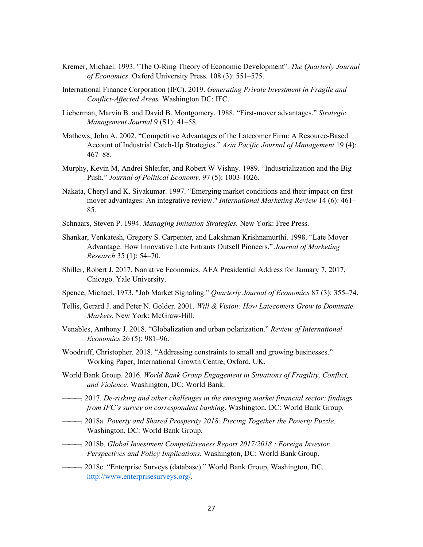- Kremer, Michael. 1993. "The O-Ring Theory of Economic Development". *The Quarterly Journal of Economics*. Oxford University Press. 108 (3): 551–575.
- International Finance Corporation (IFC). 2019. *Generating Private Investment in Fragile and Conflict-Affected Areas.* Washington DC: IFC.
- Lieberman, Marvin B. and David B. Montgomery. 1988. "First-mover advantages." *Strategic Management Journal* 9 (S1): 41–58.
- Mathews, John A. 2002. "Competitive Advantages of the Latecomer Firm: A Resource-Based Account of Industrial Catch-Up Strategies." *Asia Pacific Journal of Management* 19 (4): 467–88.
- Murphy, Kevin M, Andrei Shleifer, and Robert W Vishny. 1989. "Industrialization and the Big Push." *Journal of Political Economy,* 97 (5): 1003-1026.
- Nakata, Cheryl and K. Sivakumar. 1997. "Emerging market conditions and their impact on first mover advantages: An integrative review." *International Marketing Review* 14 (6): 461– 85.
- Schnaars, Steven P. 1994. *Managing Imitation Strategies.* New York: Free Press.
- Shankar, Venkatesh, Gregory S. Carpenter, and Lakshman Krishnamurthi. 1998. "Late Mover Advantage: How Innovative Late Entrants Outsell Pioneers." *Journal of Marketing Research* 35 (1): 54–70.
- Shiller, Robert J. 2017. Narrative Economics. AEA Presidential Address for January 7, 2017, Chicago. Yale University.
- Spence, Michael. 1973. "Job Market Signaling." *Quarterly Journal of Economics* 87 (3): 355–74.
- Tellis, Gerard J. and Peter N. Golder. 2001. *Will & Vision: How Latecomers Grow to Dominate Markets.* New York: McGraw-Hill.
- Venables, Anthony J. 2018. "Globalization and urban polarization." *Review of International Economics* 26 (5): 981–96.
- Woodruff, Christopher. 2018. "Addressing constraints to small and growing businesses." Working Paper, International Growth Centre, Oxford, UK.
- World Bank Group. 2016. *World Bank Group Engagement in Situations of Fragility, Conflict, and Violence*. Washington, DC: World Bank.
- ———. 2017. *De-risking and other challenges in the emerging market financial sector: findings from IFC's survey on correspondent banking*. Washington, DC: World Bank Group.
- ———. 2018a. *Poverty and Shared Prosperity 2018: Piecing Together the Poverty Puzzle*. Washington, DC: World Bank Group.
- ———. 2018b. *Global Investment Competitiveness Report 2017/2018 : Foreign Investor Perspectives and Policy Implications.* Washington, DC: World Bank Group.
- ———. 2018c. "Enterprise Surveys (database)." World Bank Group, Washington, DC. http://www.enterprisesurveys.org/.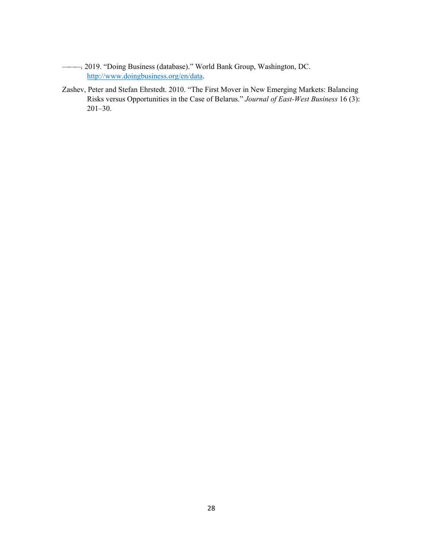- ———. 2019. "Doing Business (database)." World Bank Group, Washington, DC. http://www.doingbusiness.org/en/data.
- Zashev, Peter and Stefan Ehrstedt. 2010. "The First Mover in New Emerging Markets: Balancing Risks versus Opportunities in the Case of Belarus." *Journal of East-West Business* 16 (3): 201–30.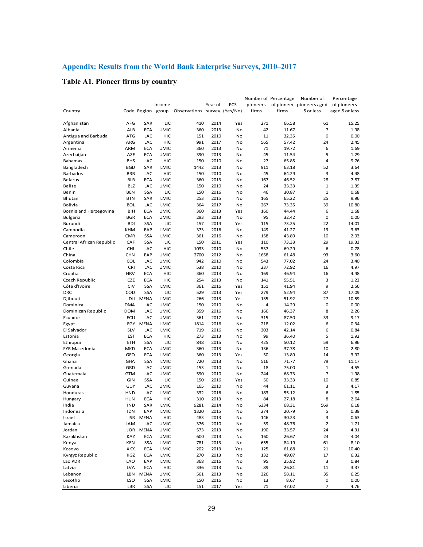## **Appendix: Results from the World Bank Enterprise Surveys, 2010–2017**

## **Table A1. Pioneer firms by country**

| Country                                   |                   | Code Region | Income<br>group            | Observations | Year of      | FCS<br>survey (Yes/No) | pioneers<br>firms | Number of Percentage<br>firms | Number of<br>of pioneer pioneers aged<br>5 or less | Percentage<br>of pioneers<br>aged 5 or less |
|-------------------------------------------|-------------------|-------------|----------------------------|--------------|--------------|------------------------|-------------------|-------------------------------|----------------------------------------------------|---------------------------------------------|
|                                           |                   |             |                            |              |              |                        |                   |                               |                                                    |                                             |
| Afghanistan                               | AFG               | SAR         | LIC                        | 410          | 2014         | Yes                    | 271               | 66.58                         | 61                                                 | 15.25                                       |
| Albania                                   | ALB               | <b>ECA</b>  | <b>UMIC</b>                | 360          | 2013         | No                     | 42                | 11.67                         | 7                                                  | 1.98                                        |
| Antigua and Barbuda                       | <b>ATG</b>        | LAC         | HIC                        | 151          | 2010         | No                     | 11                | 32.35                         | 0                                                  | 0.00                                        |
| Argentina                                 | ARG               | LAC         | HIC                        | 991          | 2017         | No                     | 565               | 57.42                         | 24                                                 | 2.45                                        |
| Armenia                                   | ARM               | <b>ECA</b>  | <b>UMIC</b>                | 360          | 2013         | No                     | 71                | 19.72                         | 6                                                  | 1.69                                        |
| Azerbaijan                                | AZE               | <b>ECA</b>  | <b>UMIC</b>                | 390          | 2013         | No                     | 45                | 11.54                         | 5                                                  | 1.29                                        |
| Bahamas                                   | <b>BHS</b>        | LAC         | HIC                        | 150          | 2010         | No                     | 27                | 65.85                         | 4                                                  | 9.76                                        |
| Bangladesh                                | <b>BGD</b>        | SAR         | <b>LMIC</b>                | 1442         | 2013         | No                     | 911               | 63.18                         | 52                                                 | 3.64                                        |
| Barbados                                  | <b>BRB</b>        | LAC         | HIC                        | 150          | 2010         | No                     | 45                | 64.29                         | 3                                                  | 4.48                                        |
| <b>Belarus</b>                            | <b>BLR</b>        | <b>ECA</b>  | <b>UMIC</b>                | 360          | 2013         | No                     | 167               | 46.52                         | 28                                                 | 7.87                                        |
| Belize                                    | <b>BLZ</b>        | LAC         | <b>UMIC</b>                | 150          | 2010         | No                     | 24                | 33.33                         | $\mathbf 1$                                        | 1.39                                        |
| Benin                                     | <b>BEN</b>        | <b>SSA</b>  | LIC                        | 150          | 2016         | No                     | 46                | 30.87                         | $\mathbf 1$                                        | 0.68                                        |
| Bhutan                                    | <b>BTN</b>        | SAR<br>LAC  | LMIC                       | 253          | 2015         | No                     | 165               | 65.22                         | 25                                                 | 9.96                                        |
| Bolivia                                   | <b>BOL</b><br>BIH | ECA         | LMIC                       | 364<br>360   | 2017<br>2013 | No                     | 267<br>160        | 73.35<br>44.44                | 39<br>6                                            | 10.80<br>1.68                               |
| Bosnia and Herzegovina<br><b>Bulgaria</b> | <b>BGR</b>        | <b>ECA</b>  | <b>UMIC</b><br><b>UMIC</b> | 293          | 2013         | Yes<br>No              | 95                | 32.42                         | 0                                                  | 0.00                                        |
| Burundi                                   | <b>BDI</b>        | <b>SSA</b>  | LIC                        | 157          | 2014         | Yes                    | 115               | 73.25                         | 22                                                 | 14.01                                       |
|                                           | <b>KHM</b>        | EAP         | LMIC                       | 373          | 2016         |                        |                   |                               | 13                                                 | 3.63                                        |
| Cambodia                                  | <b>CMR</b>        | <b>SSA</b>  |                            | 361          | 2016         | No                     | 149<br>158        | 41.27                         | 10                                                 | 2.93                                        |
| Cameroon                                  | CAF               | <b>SSA</b>  | LMIC<br>LIC                | 150          | 2011         | No                     | 110               | 43.89<br>73.33                | 29                                                 | 19.33                                       |
| Central African Republic<br>Chile         | CHL               | LAC         | HIC                        | 1033         | 2010         | Yes<br>No              | 537               | 69.29                         | 6                                                  | 0.78                                        |
| China                                     | <b>CHN</b>        | EAP         | <b>UMIC</b>                | 2700         | 2012         | No                     | 1658              | 61.48                         | 93                                                 | 3.60                                        |
| Colombia                                  | COL               | LAC         |                            | 942          | 2010         | No                     | 543               | 77.02                         | 24                                                 | 3.40                                        |
| Costa Rica                                | CRI               | LAC         | <b>UMIC</b><br><b>UMIC</b> | 538          | 2010         | No                     | 237               | 72.92                         | 16                                                 | 4.97                                        |
| Croatia                                   | <b>HRV</b>        | <b>ECA</b>  | HIC                        | 360          | 2013         | No                     | 169               | 46.94                         | 16                                                 | 4.48                                        |
| Czech Republic                            | <b>CZE</b>        | <b>ECA</b>  | HIC                        | 254          | 2013         | No                     | 141               | 55.51                         | 3                                                  | 1.22                                        |
| Côte d'Ivoire                             | CIV               | <b>SSA</b>  | <b>LMIC</b>                | 361          | 2016         | Yes                    | 151               | 41.94                         | 9                                                  | 2.56                                        |
| DRC                                       | COD               | <b>SSA</b>  | LIC                        | 529          | 2013         | Yes                    | 279               | 52.94                         | 87                                                 | 17.09                                       |
| Djibouti                                  | DJI               | MENA        | LMIC                       | 266          | 2013         | Yes                    | 135               | 51.92                         | 27                                                 | 10.59                                       |
| Dominica                                  | <b>DMA</b>        | LAC         | <b>UMIC</b>                | 150          | 2010         | No                     | 4                 | 14.29                         | 0                                                  | 0.00                                        |
| Dominican Republic                        | <b>DOM</b>        | LAC         | <b>UMIC</b>                | 359          | 2016         | No                     | 166               | 46.37                         | 8                                                  | 2.26                                        |
| Ecuador                                   | ECU               | LAC         | <b>UMIC</b>                | 361          | 2017         | No                     | 315               | 87.50                         | 33                                                 | 9.17                                        |
| Egypt                                     | EGY               | <b>MENA</b> | LMIC                       | 1814         | 2016         | No                     | 218               | 12.02                         | 6                                                  | 0.34                                        |
| El Salvador                               | SLV               | LAC         | LMIC                       | 719          | 2016         | No                     | 303               | 42.14                         | 6                                                  | 0.84                                        |
| Estonia                                   | <b>EST</b>        | <b>ECA</b>  | HIC                        | 273          | 2013         | No                     | 99                | 36.40                         | 5                                                  | 1.92                                        |
| Ethiopia                                  | <b>ETH</b>        | <b>SSA</b>  | LIC                        | 848          | 2015         | No                     | 425               | 50.12                         | 59                                                 | 6.96                                        |
| FYR Macedonia                             | <b>MKD</b>        | <b>ECA</b>  | <b>UMIC</b>                | 360          | 2013         | No                     | 136               | 37.78                         | 10                                                 | 2.80                                        |
| Georgia                                   | GEO               | <b>ECA</b>  | LMIC                       | 360          | 2013         | Yes                    | 50                | 13.89                         | 14                                                 | 3.92                                        |
| Ghana                                     | <b>GHA</b>        | <b>SSA</b>  | <b>LMIC</b>                | 720          | 2013         | No                     | 516               | 71.77                         | 79                                                 | 11.17                                       |
| Grenada                                   | GRD               | LAC         | <b>UMIC</b>                | 153          | 2010         | No                     | 18                | 75.00                         | $\mathbf 1$                                        | 4.55                                        |
| Guatemala                                 | <b>GTM</b>        | LAC         | <b>UMIC</b>                | 590          | 2010         | No                     | 244               | 68.73                         | $\overline{7}$                                     | 1.98                                        |
| Guinea                                    | <b>GIN</b>        | <b>SSA</b>  | LIC                        | 150          | 2016         | Yes                    | 50                | 33.33                         | 10                                                 | 6.85                                        |
| Guyana                                    | GUY               | LAC         | <b>UMIC</b>                | 165          | 2010         | No                     | 44                | 61.11                         | 3                                                  | 4.17                                        |
| Honduras                                  | <b>HND</b>        | LAC         | <b>LMIC</b>                | 332          | 2016         | No                     | 183               | 55.12                         | 6                                                  | 1.85                                        |
| Hungary                                   | <b>HUN</b>        | <b>ECA</b>  | HIC                        | 310          | 2013         | No                     | 84                | 27.18                         | 8                                                  | 2.64                                        |
| India                                     | IND               | SAR         | LMIC                       | 9281         | 2014         | No                     | 6334              | 68.31                         | 569                                                | 6.18                                        |
| Indonesia                                 | <b>IDN</b>        | EAP         | LMIC                       | 1320         | 2015         | No                     | 274               | 20.79                         | 5                                                  | 0.39                                        |
| Israel                                    |                   | ISR MENA    | HIC                        | 483          | 2013         | No                     | 146               | 30.23                         | 3                                                  | 0.63                                        |
| Jamaica                                   | <b>JAM</b>        | LAC         | <b>UMIC</b>                | 376          | 2010         | No                     | 59                | 48.76                         | 2                                                  | 1.71                                        |
| Jordan                                    | JOR               | <b>MENA</b> | <b>UMIC</b>                | 573          | 2013         | No                     | 190               | 33.57                         | 24                                                 | 4.31                                        |
| Kazakhstan                                | KAZ               | <b>ECA</b>  | <b>UMIC</b>                | 600          | 2013         | No                     | 160               | 26.67                         | 24                                                 | 4.04                                        |
| Kenya                                     | KEN               | <b>SSA</b>  | LMIC                       | 781          | 2013         | No                     | 655               | 84.19                         | 61                                                 | 8.10                                        |
| Kosovo                                    | XKX               | <b>ECA</b>  | LMIC                       | 202          | 2013         | Yes                    | 125               | 61.88                         | 21                                                 | 10.40                                       |
| Kyrgyz Republic                           | KGZ               | <b>ECA</b>  | LMIC                       | 270          | 2013         | No                     | 132               | 49.07                         | 17                                                 | 6.32                                        |
| Lao PDR                                   | LAO               | EAP         | LMIC                       | 368          | 2016         | No                     | 95                | 25.82                         | 3                                                  | 0.84                                        |
| Latvia                                    | <b>LVA</b>        | <b>ECA</b>  | HIC                        | 336          | 2013         | No                     | 89                | 26.81                         | 11                                                 | 3.37                                        |
| Lebanon                                   | LBN               | <b>MENA</b> | <b>UMIC</b>                | 561          | 2013         | No                     | 326               | 58.11                         | 35                                                 | 6.25                                        |
| Lesotho                                   | LSO               | <b>SSA</b>  | LMIC                       | 150          | 2016         | No                     | 13                | 8.67                          | 0                                                  | 0.00                                        |
| Liberia                                   | LBR               | <b>SSA</b>  | LIC                        | 151          | 2017         | Yes                    | 71                | 47.02                         | 7                                                  | 4.76                                        |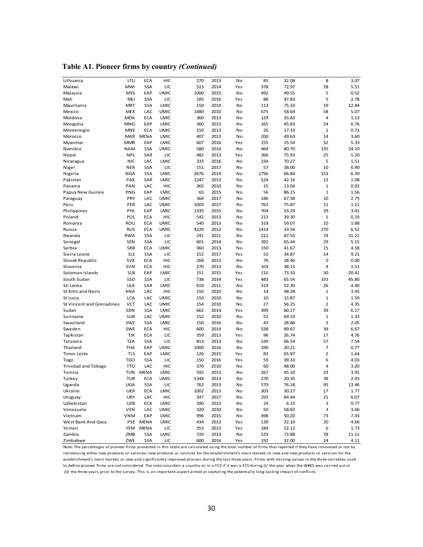**Table A1. Pioneer firms by country** *(Continued)*

|                                  | LTU        | <b>ECA</b>  | HIC         | 270  | 2013 | No  | 85   |       | 8            | 3.07  |
|----------------------------------|------------|-------------|-------------|------|------|-----|------|-------|--------------|-------|
| Lithuania                        | MWI        | <b>SSA</b>  | LIC         | 523  | 2014 |     | 378  | 32.08 |              |       |
| Malawi                           |            |             |             |      |      | Yes |      | 72.97 | 28           | 5.51  |
| Malaysia                         | <b>MYS</b> | EAP         | <b>UMIC</b> | 1000 | 2015 | No  | 492  | 49.55 | 5            | 0.52  |
| Mali                             | MLI        | <b>SSA</b>  | LIC         | 185  | 2016 | Yes | 88   | 47.83 | 5            | 2.78  |
| Mauritania                       | <b>MRT</b> | <b>SSA</b>  | LMIC        | 150  | 2014 | No  | 113  | 75.33 | 19           | 12.84 |
| Mexico                           | <b>MEX</b> | LAC         | <b>UMIC</b> | 1480 | 2010 | No  | 675  | 58.64 | 58           | 5.07  |
| Moldova                          | <b>MDA</b> | <b>ECA</b>  | <b>LMIC</b> | 360  | 2013 | No  | 129  | 35.83 | 4            | 1.13  |
| Mongolia                         | MNG        | EAP         | LMIC        | 360  | 2013 | No  | 165  | 45.83 | 24           | 6.76  |
| Montenegro                       | <b>MNE</b> | <b>ECA</b>  | <b>UMIC</b> | 150  | 2013 | No  | 26   | 17.33 | $\mathbf 1$  | 0.71  |
| Morocco                          | MAR        | <b>MENA</b> | <b>LMIC</b> | 407  | 2013 | No  | 200  | 49.63 | 14           | 3.60  |
| Myanmar                          | <b>MMR</b> | EAP         | LMIC        | 607  | 2016 | Yes | 155  | 25.54 | 32           | 5.33  |
| Namibia                          | <b>NAM</b> | <b>SSA</b>  | <b>UMIC</b> | 580  | 2014 | No  | 464  | 80.70 | 135          | 24.19 |
| Nepal                            | <b>NPL</b> | SAR         | LIC         | 482  | 2013 | Yes | 366  | 75.93 | 25           | 5.20  |
| Nicaragua                        | <b>NIC</b> | LAC         | LMIC        | 333  | 2016 | No  | 234  | 70.27 | 5            | 1.51  |
| Niger                            | <b>NER</b> | <b>SSA</b>  | LIC         | 151  | 2017 | No  | 57   | 38.00 | 10           | 6.90  |
| Nigeria                          | <b>NGA</b> | <b>SSA</b>  | LMIC        | 2676 | 2014 | No  | 1756 | 66.84 | 153          | 6.39  |
| Pakistan                         | PAK        | SAR         | LMIC        | 1247 | 2013 | No  | 524  | 42.16 | 12           | 1.08  |
| Panama                           | PAN        | LAC         | HIC         | 365  | 2010 | No  | 15   | 13.04 | $\mathbf 1$  | 0.92  |
| Papua New Guinea                 | PNG        | EAP         | LMIC        | 65   | 2015 | No  | 56   | 86.15 | $\mathbf{1}$ | 1.56  |
| Paraguay                         | PRY        | LAC         | <b>UMIC</b> | 364  | 2017 | No  | 246  | 67.58 | 10           | 2.75  |
| Peru                             | PER        | LAC         | <b>UMIC</b> | 1003 | 2017 | No  | 761  | 75.87 | 11           | 1.11  |
| Philippines                      | PHL        | EAP         | LMIC        | 1335 | 2015 | No  | 704  | 53.29 | 39           | 3.01  |
| Poland                           | POL        | <b>ECA</b>  | HIC         | 542  | 2013 | No  | 213  | 39.30 | $\mathbf{1}$ | 0.19  |
| Romania                          | ROU        | <b>ECA</b>  | <b>UMIC</b> | 540  | 2013 | No  | 319  | 59.07 | 10           | 1.88  |
| Russia                           | <b>RUS</b> | <b>ECA</b>  | <b>UMIC</b> | 4220 | 2012 | No  | 1414 | 33.56 | 270          | 6.52  |
| Rwanda                           | <b>RWA</b> | <b>SSA</b>  | LIC         | 241  | 2011 | No  | 211  | 87.55 | 74           | 31.22 |
| Senegal                          | <b>SEN</b> | <b>SSA</b>  | LIC         | 601  | 2014 | No  | 392  | 65.44 | 29           | 5.15  |
| Serbia                           | SRB        | <b>ECA</b>  | <b>UMIC</b> | 360  | 2013 | No  | 150  | 41.67 | 15           | 4.18  |
|                                  |            | <b>SSA</b>  |             |      | 2017 |     |      |       | 14           |       |
| Sierra Leone                     | <b>SLE</b> |             | LIC         | 152  |      | Yes | 53   | 34.87 |              | 9.21  |
| Slovak Republic                  | <b>SVK</b> | <b>ECA</b>  | HIC         | 268  | 2013 | No  | 76   | 28.46 | 0            | 0.00  |
| Slovenia                         | <b>SVN</b> | <b>ECA</b>  | HIC         | 270  | 2013 | No  | 103  | 38.15 | 4            | 1.51  |
| Solomon Islands                  | <b>SLB</b> | EAP         | LMIC        | 151  | 2015 | Yes | 110  | 73.33 | 30           | 20.41 |
| South Sudan                      | SSD        | <b>SSA</b>  | LIC         | 738  | 2014 | Yes | 483  | 65.54 | 333          | 45.80 |
| Sri Lanka                        | <b>LKA</b> | SAR         | LMIC        | 610  | 2011 | No  | 319  | 52.30 | 26           | 4.40  |
| <b>St Kitts and Nevis</b>        | <b>KNA</b> | LAC         | HIC         | 150  | 2010 | No  | 14   | 48.28 | $\mathbf{1}$ | 3.45  |
| St Lucia                         | <b>LCA</b> | LAC         | <b>UMIC</b> | 150  | 2010 | No  | 10   | 15.87 | $\mathbf 1$  | 1.59  |
| <b>St Vincent and Grenadines</b> | <b>VCT</b> | LAC         | <b>UMIC</b> | 154  | 2010 | No  | 27   | 56.25 | 2            | 4.35  |
| Sudan                            | SDN        | <b>SSA</b>  | LMIC        | 662  | 2014 | Yes | 399  | 60.27 | 39           | 6.17  |
| Suriname                         | <b>SUR</b> | LAC         | <b>UMIC</b> | 152  | 2010 | No  | 52   | 69.33 | $\mathbf{1}$ | 1.33  |
| Swaziland                        | SWZ        | <b>SSA</b>  | LMIC        | 150  | 2016 | No  | 43   | 28.86 | 3            | 2.05  |
| Sweden                           | <b>SWE</b> | <b>ECA</b>  | HIC         | 600  | 2014 | No  | 538  | 89.67 | 39           | 6.67  |
| Tajikistan                       | <b>TJK</b> | <b>ECA</b>  | LIC         | 359  | 2013 | Yes | 96   | 26.74 | 17           | 4.76  |
| Tanzania                         | <b>TZA</b> | <b>SSA</b>  | LIC         | 813  | 2013 | No  | 539  | 66.54 | 57           | 7.54  |
| Thailand                         | <b>THA</b> | EAP         | <b>UMIC</b> | 1000 | 2016 | No  | 190  | 20.21 | 7            | 0.77  |
| <b>Timor Leste</b>               | <b>TLS</b> | EAP         | <b>LMIC</b> | 126  | 2015 | Yes | 83   | 65.87 | 2            | 1.64  |
| Togo                             | <b>TGO</b> | <b>SSA</b>  | LIC         | 150  | 2016 | Yes | 59   | 39.33 | 6            | 4.03  |
| <b>Trinidad and Tobago</b>       | <b>TTO</b> | LAC         | HIC         | 370  | 2010 | No  | 60   | 48.00 | 4            | 3.20  |
| Tunisia                          | <b>TUN</b> | <b>MENA</b> | LMIC        | 592  | 2013 | No  | 267  | 45.10 | 23           | 3.91  |
| Turkey                           | <b>TUR</b> | <b>ECA</b>  | <b>UMIC</b> | 1344 | 2013 | No  | 270  | 20.35 | 38           | 2.93  |
| Uganda                           | <b>UGA</b> | <b>SSA</b>  | LIC         | 762  | 2013 | No  | 579  | 76.18 | 95           | 13.46 |
| Ukraine                          | <b>UKR</b> | <b>ECA</b>  | LMIC        | 1002 | 2013 | No  | 303  | 30.27 | 17           | 1.77  |
| Uruguay                          | <b>URY</b> | LAC         | HIC         | 347  | 2017 | No  | 293  | 84.44 | 21           | 6.07  |
| Uzbekistan                       | <b>UZB</b> | <b>ECA</b>  | LMIC        | 390  | 2013 | No  | 24   | 6.15  | 3            | 0.77  |
| Venezuela                        | <b>VEN</b> | LAC         | <b>UMIC</b> | 320  | 2010 | No  | 50   | 58.82 | 3            | 3.66  |
| Vietnam                          | <b>VNM</b> | EAP         | LMIC        | 996  | 2015 | No  | 498  | 50.20 | 73           | 7.43  |
| West Bank And Gaza               |            | PSE MENA    |             | 434  |      |     |      |       |              |       |
|                                  |            |             | LMIC        |      | 2013 | Yes | 139  | 32.10 | 20           | 4.66  |
| Yemen                            |            | YEM MENA    | LIC         | 353  | 2013 | Yes | 184  | 52.12 | 6            | 1.73  |
| Zambia                           | ZMB        | <b>SSA</b>  | LMIC        | 720  | 2013 | No  | 529  | 73.88 | 78           | 11.11 |
| Zimbabwe                         | ZWE        | SSA         | LIC         | 600  | 2016 | Yes | 192  | 32.00 | 24           | 4.11  |

introducing either new products or services; new products or services for the establishment's main market; or new and new products or services for the *(ii)* the three years prior to the survey. This is an important aspect aimed at capturing the potentially long-lasting impact of conflicts. Note: The percentages of pioneer firms presented in this table are calculated using the total number of firms that reported i f they have innovated or not by establishment's main market; or new and significantly improved process during the last three years. Firms with missing values in the three variables used to define pioneer firms are not considered. The note considers a country as in a FCS if it was a FCS during *(i)* the year when the WBES was carried out or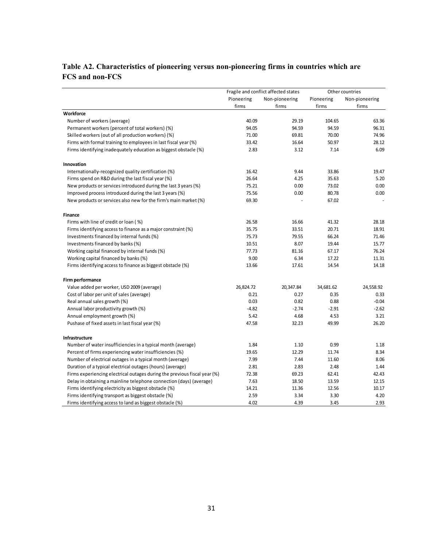## **Table A2. Characteristics of pioneering versus non-pioneering firms in countries which are FCS and non-FCS**

|                                                                           |            | Fragile and conflict affected states | Other countries |                |  |
|---------------------------------------------------------------------------|------------|--------------------------------------|-----------------|----------------|--|
|                                                                           | Pioneering | Non-pioneering                       | Pioneering      | Non-pioneering |  |
|                                                                           | firms      | firms                                | firms           | firms          |  |
| Workforce                                                                 |            |                                      |                 |                |  |
| Number of workers (average)                                               | 40.09      | 29.19                                | 104.65          | 63.36          |  |
| Permanent workers (percent of total workers) (%)                          | 94.05      | 94.59                                | 94.59           | 96.31          |  |
| Skilled workers (out of all production workers) (%)                       | 71.00      | 69.81                                | 70.00           | 74.96          |  |
| Firms with formal training to employees in last fiscal year (%)           | 33.42      | 16.64                                | 50.97           | 28.12          |  |
| Firms identifying inadequately education as biggest obstacle (%)          | 2.83       | 3.12                                 | 7.14            | 6.09           |  |
| Innovation                                                                |            |                                      |                 |                |  |
| Internationally-recognized quality certification (%)                      | 16.42      | 9.44                                 | 33.86           | 19.47          |  |
| Firms spend on R&D during the last fiscal year (%)                        | 26.64      | 4.25                                 | 35.63           | 5.20           |  |
| New products or services introduced during the last 3 years (%)           | 75.21      | 0.00                                 | 73.02           | 0.00           |  |
| Improved process introduced during the last 3 years (%)                   | 75.56      | 0.00                                 | 80.78           | 0.00           |  |
| New products or services also new for the firm's main market (%)          | 69.30      |                                      | 67.02           |                |  |
| <b>Finance</b>                                                            |            |                                      |                 |                |  |
| Firms with line of credit or loan (%)                                     | 26.58      | 16.66                                | 41.32           | 28.18          |  |
| Firms identifying access to finance as a major constraint (%)             | 35.75      | 33.51                                | 20.71           | 18.91          |  |
| Investments financed by internal funds (%)                                | 75.73      | 79.55                                | 66.24           | 71.46          |  |
| Investments financed by banks (%)                                         | 10.51      | 8.07                                 | 19.44           | 15.77          |  |
| Working capital financed by internal funds (%)                            | 77.73      | 81.16                                | 67.17           | 76.24          |  |
| Working capital financed by banks (%)                                     | 9.00       | 6.34                                 | 17.22           | 11.31          |  |
| Firms identifying access to finance as biggest obstacle (%)               | 13.66      | 17.61                                | 14.54           | 14.18          |  |
| Firm performance                                                          |            |                                      |                 |                |  |
| Value added per worker, USD 2009 (average)                                | 26,824.72  | 20,347.84                            | 34,681.62       | 24,558.92      |  |
| Cost of labor per unit of sales (average)                                 | 0.21       | 0.27                                 | 0.35            | 0.33           |  |
| Real annual sales growth (%)                                              | 0.03       | 0.82                                 | 0.88            | $-0.04$        |  |
| Annual labor productivity growth (%)                                      | $-4.82$    | $-2.74$                              | $-2.91$         | $-2.62$        |  |
| Annual employment growth (%)                                              | 5.42       | 4.68                                 | 4.53            | 3.21           |  |
| Pushase of fixed assets in last fiscal year (%)                           | 47.58      | 32.23                                | 49.99           | 26.20          |  |
| Infrastructure                                                            |            |                                      |                 |                |  |
| Number of water insufficiencies in a typical month (average)              | 1.84       | 1.10                                 | 0.99            | 1.18           |  |
| Percent of firms experiencing water insufficiencies (%)                   | 19.65      | 12.29                                | 11.74           | 8.34           |  |
| Number of electrical outages in a typical month (average)                 | 7.99       | 7.44                                 | 11.60           | 8.06           |  |
| Duration of a typical electrical outages (hours) (average)                | 2.81       | 2.83                                 | 2.48            | 1.44           |  |
| Firms experiencing electrical outages during the previous fiscal year (%) | 72.38      | 69.23                                | 62.41           | 42.43          |  |
| Delay in obtaining a mainline telephone connection (days) (average)       | 7.63       | 18.50                                | 13.59           | 12.15          |  |
| Firms identifying electricity as biggest obstacle (%)                     | 14.21      | 11.36                                | 12.56           | 10.17          |  |
| Firms identifying transport as biggest obstacle (%)                       | 2.59       | 3.34                                 | 3.30            | 4.20           |  |
| Firms identifying access to land as biggest obstacle (%)                  | 4.02       | 4.39                                 | 3.45            | 2.93           |  |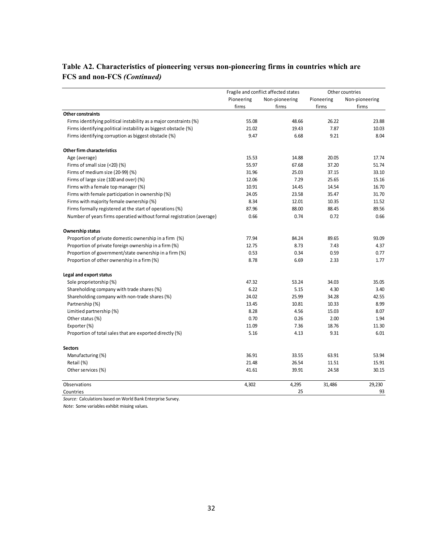|                                                                       |            | Fragile and conflict affected states | Other countries |                |  |
|-----------------------------------------------------------------------|------------|--------------------------------------|-----------------|----------------|--|
|                                                                       | Pioneering | Non-pioneering                       | Pioneering      | Non-pioneering |  |
|                                                                       | firms      | firms                                | firms           | firms          |  |
| <b>Other constraints</b>                                              |            |                                      |                 |                |  |
| Firms identifying political instability as a major constraints (%)    | 55.08      | 48.66                                | 26.22           | 23.88          |  |
| Firms identifying political instability as biggest obstacle (%)       | 21.02      | 19.43                                | 7.87            | 10.03          |  |
| Firms identifying corruption as biggest obstacle (%)                  | 9.47       | 6.68                                 | 9.21            | 8.04           |  |
| Other firm characteristics                                            |            |                                      |                 |                |  |
| Age (average)                                                         | 15.53      | 14.88                                | 20.05           | 17.74          |  |
| Firms of small size (<20) (%)                                         | 55.97      | 67.68                                | 37.20           | 51.74          |  |
| Firms of medium size (20-99) (%)                                      | 31.96      | 25.03                                | 37.15           | 33.10          |  |
| Firms of large size (100 and over) (%)                                | 12.06      | 7.29                                 | 25.65           | 15.16          |  |
| Firms with a female top manager (%)                                   | 10.91      | 14.45                                | 14.54           | 16.70          |  |
| Firms with female participation in ownership (%)                      | 24.05      | 23.58                                | 35.47           | 31.70          |  |
| Firms with majority female ownership (%)                              | 8.34       | 12.01                                | 10.35           | 11.52          |  |
| Firms formally registered at the start of operations (%)              | 87.96      | 88.00                                | 88.45           | 89.56          |  |
| Number of years firms operatied without formal registration (average) | 0.66       | 0.74                                 | 0.72            | 0.66           |  |
| <b>Ownership status</b>                                               |            |                                      |                 |                |  |
| Proportion of private domestic ownership in a firm (%)                | 77.94      | 84.24                                | 89.65           | 93.09          |  |
| Proportion of private foreign ownership in a firm (%)                 | 12.75      | 8.73                                 | 7.43            | 4.37           |  |
| Proportion of government/state ownership in a firm (%)                | 0.53       | 0.34                                 | 0.59            | 0.77           |  |
| Proportion of other ownership in a firm (%)                           | 8.78       | 6.69                                 | 2.33            | 1.77           |  |
| Legal and export status                                               |            |                                      |                 |                |  |
| Sole proprietorship (%)                                               | 47.32      | 53.24                                | 34.03           | 35.05          |  |
| Shareholding company with trade shares (%)                            | 6.22       | 5.15                                 | 4.30            | 3.40           |  |
| Shareholding company with non-trade shares (%)                        | 24.02      | 25.99                                | 34.28           | 42.55          |  |
| Partnership (%)                                                       | 13.45      | 10.81                                | 10.33           | 8.99           |  |
| Limitied partnership (%)                                              | 8.28       | 4.56                                 | 15.03           | 8.07           |  |
| Other status (%)                                                      | 0.70       | 0.26                                 | 2.00            | 1.94           |  |
| Exporter (%)                                                          | 11.09      | 7.36                                 | 18.76           | 11.30          |  |
| Proportion of total sales that are exported directly (%)              | 5.16       | 4.13                                 | 9.31            | 6.01           |  |
| <b>Sectors</b>                                                        |            |                                      |                 |                |  |
| Manufacturing (%)                                                     | 36.91      | 33.55                                | 63.91           | 53.94          |  |
| Retail (%)                                                            | 21.48      | 26.54                                | 11.51           | 15.91          |  |
| Other services (%)                                                    | 41.61      | 39.91                                | 24.58           | 30.15          |  |
| Observations                                                          | 4,302      | 4,295                                | 31,486          | 29,230         |  |
| Countries                                                             |            | 25                                   |                 | 93             |  |

### **Table A2. Characteristics of pioneering versus non-pioneering firms in countries which are FCS and non-FCS** *(Continued)*

*Source:* Calculations based on World Bank Enterprise Survey.

*Note:* Some variables exhibit missing values.